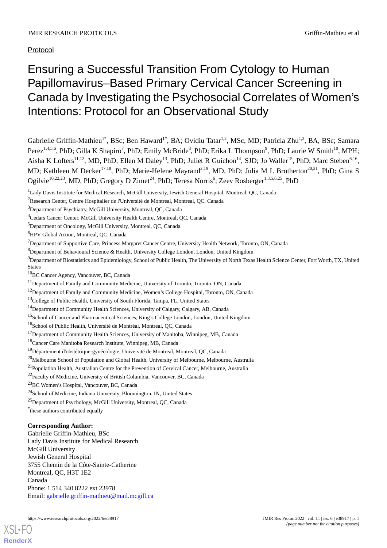## Protocol

# Ensuring a Successful Transition From Cytology to Human Papillomavirus–Based Primary Cervical Cancer Screening in Canada by Investigating the Psychosocial Correlates of Women's Intentions: Protocol for an Observational Study

Gabrielle Griffin-Mathieu<sup>1\*</sup>, BSc; Ben Haward<sup>1\*</sup>, BA; Ovidiu Tatar<sup>1,2</sup>, MSc, MD; Patricia Zhu<sup>1,3</sup>, BA, BSc; Samara Perez<sup>1,4,5,6</sup>, PhD; Gilla K Shapiro<sup>7</sup>, PhD; Emily McBride<sup>8</sup>, PhD; Erika L Thompson<sup>9</sup>, PhD; Laurie W Smith<sup>10</sup>, MPH; Aisha K Lofters<sup>11,12</sup>, MD, PhD; Ellen M Daley<sup>13</sup>, PhD; Juliet R Guichon<sup>14</sup>, SJD; Jo Waller<sup>15</sup>, PhD; Marc Steben<sup>6,16</sup>, MD; Kathleen M Decker<sup>17,18</sup>, PhD; Marie-Helene Mayrand<sup>2,19</sup>, MD, PhD; Julia M L Brotherton<sup>20,21</sup>, PhD; Gina S Ogilvie<sup>10,22,23</sup>, MD, PhD; Gregory D Zimet<sup>24</sup>, PhD; Teresa Norris<sup>6</sup>; Zeev Rosberger<sup>1,3,5,6,25</sup>, PhD

<sup>25</sup>Department of Psychology, McGill University, Montreal, QC, Canada

## **Corresponding Author:**

Gabrielle Griffin-Mathieu, BSc Lady Davis Institute for Medical Research McGill University Jewish General Hospital 3755 Chemin de la Côte-Sainte-Catherine Montreal, QC, H3T 1E2 Canada Phone: 1 514 340 8222 ext 23978 Email: [gabrielle.griffin-mathieu@mail.mcgill.ca](mailto:gabrielle.griffin-mathieu@mail.mcgill.ca)

<sup>&</sup>lt;sup>1</sup>Lady Davis Institute for Medical Research, McGill University, Jewish General Hospital, Montreal, QC, Canada

<sup>2</sup>Research Center, Centre Hospitalier de l'Université de Montreal, Montreal, QC, Canada

<sup>3</sup>Department of Psychiatry, McGill University, Montreal, QC, Canada

<sup>4</sup>Cedars Cancer Center, McGill University Health Centre, Montreal, QC, Canada

<sup>5</sup>Department of Oncology, McGill University, Montreal, QC, Canada

<sup>6</sup>HPV Global Action, Montreal, QC, Canada

<sup>7</sup>Department of Supportive Care, Princess Margaret Cancer Centre, University Health Network, Toronto, ON, Canada

<sup>8</sup>Department of Behavioural Science & Health, University College London, London, United Kingdom

 $9$ Department of Biostatistics and Epidemiology, School of Public Health, The University of North Texas Health Science Center, Fort Worth, TX, United States

<sup>10</sup>BC Cancer Agency, Vancouver, BC, Canada

<sup>&</sup>lt;sup>11</sup>Department of Family and Community Medicine, University of Toronto, Toronto, ON, Canada

<sup>&</sup>lt;sup>12</sup>Department of Family and Community Medicine, Women's College Hospital, Toronto, ON, Canada

<sup>&</sup>lt;sup>13</sup>College of Public Health, University of South Florida, Tampa, FL, United States

<sup>14</sup>Department of Community Health Sciences, University of Calgary, Calgary, AB, Canada

<sup>&</sup>lt;sup>15</sup>School of Cancer and Pharmaceutical Sciences, King's College London, London, United Kingdom

<sup>&</sup>lt;sup>16</sup>School of Public Health, Université de Montréal, Montreal, QC, Canada

 $17$ Department of Community Health Sciences, University of Manitoba, Winnipeg, MB, Canada

<sup>18</sup>Cancer Care Manitoba Research Institute, Winnipeg, MB, Canada

<sup>&</sup>lt;sup>19</sup>Département d'obstétrique-gynécologie, Université de Montreal, Montreal, QC, Canada

<sup>&</sup>lt;sup>20</sup>Melbourne School of Population and Global Health, University of Melbourne, Melbourne, Australia

<sup>&</sup>lt;sup>21</sup> Population Health, Australian Centre for the Prevention of Cervical Cancer, Melbourne, Australia

 $22$ Faculty of Medicine, University of British Columbia, Vancouver, BC, Canada

<sup>23</sup>BC Women's Hospital, Vancouver, BC, Canada

<sup>&</sup>lt;sup>24</sup>School of Medicine, Indiana University, Bloomington, IN, United States

<sup>\*</sup> these authors contributed equally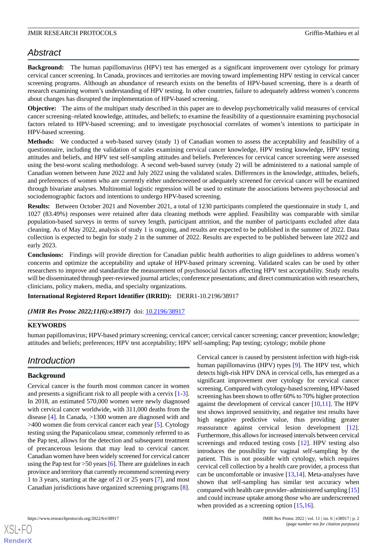## *Abstract*

**Background:** The human papillomavirus (HPV) test has emerged as a significant improvement over cytology for primary cervical cancer screening. In Canada, provinces and territories are moving toward implementing HPV testing in cervical cancer screening programs. Although an abundance of research exists on the benefits of HPV-based screening, there is a dearth of research examining women's understanding of HPV testing. In other countries, failure to adequately address women's concerns about changes has disrupted the implementation of HPV-based screening.

**Objective:** The aims of the multipart study described in this paper are to develop psychometrically valid measures of cervical cancer screening–related knowledge, attitudes, and beliefs; to examine the feasibility of a questionnaire examining psychosocial factors related to HPV-based screening; and to investigate psychosocial correlates of women's intentions to participate in HPV-based screening.

**Methods:** We conducted a web-based survey (study 1) of Canadian women to assess the acceptability and feasibility of a questionnaire, including the validation of scales examining cervical cancer knowledge, HPV testing knowledge, HPV testing attitudes and beliefs, and HPV test self-sampling attitudes and beliefs. Preferences for cervical cancer screening were assessed using the best-worst scaling methodology. A second web-based survey (study 2) will be administered to a national sample of Canadian women between June 2022 and July 2022 using the validated scales. Differences in the knowledge, attitudes, beliefs, and preferences of women who are currently either underscreened or adequately screened for cervical cancer will be examined through bivariate analyses. Multinomial logistic regression will be used to estimate the associations between psychosocial and sociodemographic factors and intentions to undergo HPV-based screening.

**Results:** Between October 2021 and November 2021, a total of 1230 participants completed the questionnaire in study 1, and 1027 (83.49%) responses were retained after data cleaning methods were applied. Feasibility was comparable with similar population-based surveys in terms of survey length, participant attrition, and the number of participants excluded after data cleaning. As of May 2022, analysis of study 1 is ongoing, and results are expected to be published in the summer of 2022. Data collection is expected to begin for study 2 in the summer of 2022. Results are expected to be published between late 2022 and early 2023.

**Conclusions:** Findings will provide direction for Canadian public health authorities to align guidelines to address women's concerns and optimize the acceptability and uptake of HPV-based primary screening. Validated scales can be used by other researchers to improve and standardize the measurement of psychosocial factors affecting HPV test acceptability. Study results will be disseminated through peer-reviewed journal articles; conference presentations; and direct communication with researchers, clinicians, policy makers, media, and specialty organizations.

**International Registered Report Identifier (IRRID):** DERR1-10.2196/38917

*(JMIR Res Protoc 2022;11(6):e38917)* doi: [10.2196/38917](http://dx.doi.org/10.2196/38917)

## **KEYWORDS**

human papillomavirus; HPV-based primary screening; cervical cancer; cervical cancer screening; cancer prevention; knowledge; attitudes and beliefs; preferences; HPV test acceptability; HPV self-sampling; Pap testing; cytology; mobile phone

## *Introduction*

## **Background**

Cervical cancer is the fourth most common cancer in women and presents a significant risk to all people with a cervix [\[1-](#page-13-0)[3\]](#page-13-1). In 2018, an estimated 570,000 women were newly diagnosed with cervical cancer worldwide, with 311,000 deaths from the disease [[4](#page-13-2)]. In Canada, >1300 women are diagnosed with and >400 women die from cervical cancer each year [\[5](#page-13-3)]. Cytology testing using the Papanicolaou smear, commonly referred to as the Pap test, allows for the detection and subsequent treatment of precancerous lesions that may lead to cervical cancer. Canadian women have been widely screened for cervical cancer using the Pap test for  $>50$  years [\[6](#page-13-4)]. There are guidelines in each province and territory that currently recommend screening every 1 to 3 years, starting at the age of 21 or 25 years [[7\]](#page-13-5), and most Canadian jurisdictions have organized screening programs [[8\]](#page-13-6).

Cervical cancer is caused by persistent infection with high-risk human papillomavirus (HPV) types [[9\]](#page-13-7). The HPV test, which detects high-risk HPV DNA in cervical cells, has emerged as a significant improvement over cytology for cervical cancer screening. Compared with cytology-based screening, HPV-based screening has been shown to offer 60% to 70% higher protection against the development of cervical cancer [[10](#page-13-8)[,11](#page-13-9)]. The HPV test shows improved sensitivity, and negative test results have high negative predictive value, thus providing greater reassurance against cervical lesion development [[12\]](#page-13-10). Furthermore, this allows for increased intervals between cervical screenings and reduced testing costs [\[12](#page-13-10)]. HPV testing also introduces the possibility for vaginal self-sampling by the patient. This is not possible with cytology, which requires cervical cell collection by a health care provider, a process that can be uncomfortable or invasive [[13,](#page-13-11)[14](#page-13-12)]. Meta-analyses have shown that self-sampling has similar test accuracy when compared with health care provider–administered sampling [[15\]](#page-13-13) and could increase uptake among those who are underscreened when provided as a screening option [[15,](#page-13-13)[16](#page-13-14)].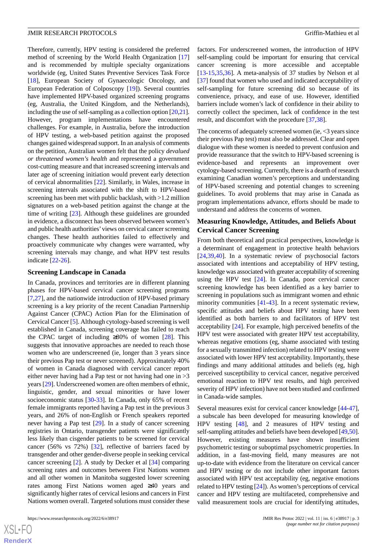Therefore, currently, HPV testing is considered the preferred method of screening by the World Health Organization [\[17](#page-13-15)] and is recommended by multiple specialty organizations worldwide (eg, United States Preventive Services Task Force [[18\]](#page-13-16), European Society of Gynaecologic Oncology, and European Federation of Colposcopy [\[19](#page-13-17)]). Several countries have implemented HPV-based organized screening programs (eg, Australia, the United Kingdom, and the Netherlands), including the use of self-sampling as a collection option [[20,](#page-13-18)[21\]](#page-13-19). However, program implementations have encountered challenges. For example, in Australia, before the introduction of HPV testing, a web-based petition against the proposed changes gained widespread support. In an analysis of comments on the petition, Australian women felt that the policy *devalued or threatened women's health* and represented a government cost-cutting measure and that increased screening intervals and later age of screening initiation would prevent early detection of cervical abnormalities [\[22](#page-14-0)]. Similarly, in Wales, increase in screening intervals associated with the shift to HPV-based screening has been met with public backlash, with >1.2 million signatures on a web-based petition against the change at the time of writing [\[23](#page-14-1)]. Although these guidelines are grounded in evidence, a disconnect has been observed between women's and public health authorities'views on cervical cancer screening changes. These health authorities failed to effectively and proactively communicate why changes were warranted, why screening intervals may change, and what HPV test results indicate [\[22](#page-14-0)[-26](#page-14-2)].

#### **Screening Landscape in Canada**

In Canada, provinces and territories are in different planning phases for HPV-based cervical cancer screening programs [[7](#page-13-5)[,27](#page-14-3)], and the nationwide introduction of HPV-based primary screening is a key priority of the recent Canadian Partnership Against Cancer (CPAC) Action Plan for the Elimination of Cervical Cancer [[5](#page-13-3)]. Although cytology-based screening is well established in Canada, screening coverage has failed to reach the CPAC target of including  $\geq 80\%$  of women [\[28](#page-14-4)]. This suggests that innovative approaches are needed to reach those women who are underscreened (ie, longer than 3 years since their previous Pap test or never screened). Approximately 40% of women in Canada diagnosed with cervical cancer report either never having had a Pap test or not having had one in >3 years [[29\]](#page-14-5). Underscreened women are often members of ethnic, linguistic, gender, and sexual minorities or have lower socioeconomic status [[30-](#page-14-6)[33\]](#page-14-7). In Canada, only 65% of recent female immigrants reported having a Pap test in the previous 3 years, and 26% of non-English or French speakers reported never having a Pap test [\[29](#page-14-5)]. In a study of cancer screening registries in Ontario, transgender patients were significantly less likely than cisgender patients to be screened for cervical cancer (56% vs 72%) [[32\]](#page-14-8), reflective of barriers faced by transgender and other gender-diverse people in seeking cervical cancer screening [\[2](#page-13-20)]. A study by Decker et al [[34\]](#page-14-9) comparing screening rates and outcomes between First Nations women and all other women in Manitoba suggested lower screening rates among First Nations women aged ≥40 years and significantly higher rates of cervical lesions and cancers in First Nations women overall. Targeted solutions must consider these

factors. For underscreened women, the introduction of HPV self-sampling could be important for ensuring that cervical cancer screening is more accessible and acceptable [[13](#page-13-11)[-15](#page-13-13),[35](#page-14-10)[,36](#page-14-11)]. A meta-analysis of 37 studies by Nelson et al [[37\]](#page-14-12) found that women who used and indicated acceptability of self-sampling for future screening did so because of its convenience, privacy, and ease of use. However, identified barriers include women's lack of confidence in their ability to correctly collect the specimen, lack of confidence in the test result, and discomfort with the procedure [\[37](#page-14-12),[38\]](#page-14-13).

The concerns of adequately screened women (ie, <3 years since their previous Pap test) must also be addressed. Clear and open dialogue with these women is needed to prevent confusion and provide reassurance that the switch to HPV-based screening is evidence-based and represents an improvement over cytology-based screening. Currently, there is a dearth of research examining Canadian women's perceptions and understanding of HPV-based screening and potential changes to screening guidelines. To avoid problems that may arise in Canada as program implementations advance, efforts should be made to understand and address the concerns of women.

## **Measuring Knowledge, Attitudes, and Beliefs About Cervical Cancer Screening**

From both theoretical and practical perspectives, knowledge is a determinant of engagement in protective health behaviors [[24,](#page-14-14)[39,](#page-14-15)[40\]](#page-14-16). In a systematic review of psychosocial factors associated with intentions and acceptability of HPV testing, knowledge was associated with greater acceptability of screening using the HPV test [[24\]](#page-14-14). In Canada, poor cervical cancer screening knowledge has been identified as a key barrier to screening in populations such as immigrant women and ethnic minority communities [[41-](#page-14-17)[43\]](#page-15-0). In a recent systematic review, specific attitudes and beliefs about HPV testing have been identified as both barriers to and facilitators of HPV test acceptability [[24\]](#page-14-14). For example, high perceived benefits of the HPV test were associated with greater HPV test acceptability, whereas negative emotions (eg, shame associated with testing for a sexually transmitted infection) related to HPV testing were associated with lower HPV test acceptability. Importantly, these findings and many additional attitudes and beliefs (eg, high perceived susceptibility to cervical cancer, negative perceived emotional reaction to HPV test results, and high perceived severity of HPV infection) have not been studied and confirmed in Canada-wide samples.

Several measures exist for cervical cancer knowledge [[44-](#page-15-1)[47\]](#page-15-2), a subscale has been developed for measuring knowledge of HPV testing [\[48](#page-15-3)], and 2 measures of HPV testing and self-sampling attitudes and beliefs have been developed [[49,](#page-15-4)[50](#page-15-5)]. However, existing measures have shown insufficient psychometric testing or suboptimal psychometric properties. In addition, in a fast-moving field, many measures are not up-to-date with evidence from the literature on cervical cancer and HPV testing or do not include other important factors associated with HPV test acceptability (eg, negative emotions related to HPV testing [\[24](#page-14-14)]). As women's perceptions of cervical cancer and HPV testing are multifaceted, comprehensive and valid measurement tools are crucial for identifying attitudes,

```
XS-FO
RenderX
```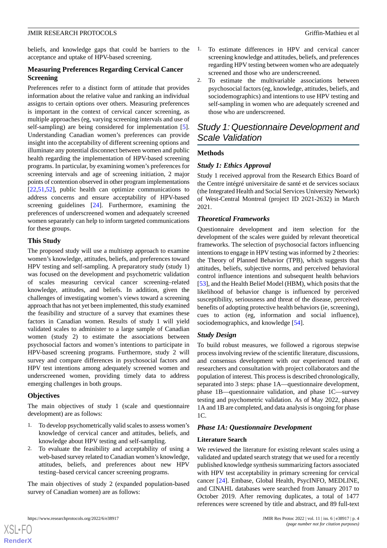beliefs, and knowledge gaps that could be barriers to the acceptance and uptake of HPV-based screening.

## **Measuring Preferences Regarding Cervical Cancer Screening**

Preferences refer to a distinct form of attitude that provides information about the relative value and ranking an individual assigns to certain options over others. Measuring preferences is important in the context of cervical cancer screening, as multiple approaches (eg, varying screening intervals and use of self-sampling) are being considered for implementation [[5\]](#page-13-3). Understanding Canadian women's preferences can provide insight into the acceptability of different screening options and illuminate any potential disconnect between women and public health regarding the implementation of HPV-based screening programs. In particular, by examining women's preferences for screening intervals and age of screening initiation, 2 major points of contention observed in other program implementations [[22](#page-14-0)[,51](#page-15-6),[52\]](#page-15-7), public health can optimize communications to address concerns and ensure acceptability of HPV-based screening guidelines [[24\]](#page-14-14). Furthermore, examining the preferences of underscreened women and adequately screened women separately can help to inform targeted communications for these groups.

## **This Study**

The proposed study will use a multistep approach to examine women's knowledge, attitudes, beliefs, and preferences toward HPV testing and self-sampling. A preparatory study (study 1) was focused on the development and psychometric validation of scales measuring cervical cancer screening–related knowledge, attitudes, and beliefs. In addition, given the challenges of investigating women's views toward a screening approach that has not yet been implemented, this study examined the feasibility and structure of a survey that examines these factors in Canadian women. Results of study 1 will yield validated scales to administer to a large sample of Canadian women (study 2) to estimate the associations between psychosocial factors and women's intentions to participate in HPV-based screening programs. Furthermore, study 2 will survey and compare differences in psychosocial factors and HPV test intentions among adequately screened women and underscreened women, providing timely data to address emerging challenges in both groups.

## **Objectives**

[XSL](http://www.w3.org/Style/XSL)•FO **[RenderX](http://www.renderx.com/)**

The main objectives of study 1 (scale and questionnaire development) are as follows:

- 1. To develop psychometrically valid scales to assess women's knowledge of cervical cancer and attitudes, beliefs, and knowledge about HPV testing and self-sampling.
- 2. To evaluate the feasibility and acceptability of using a web-based survey related to Canadian women's knowledge, attitudes, beliefs, and preferences about new HPV testing–based cervical cancer screening programs.

The main objectives of study 2 (expanded population-based survey of Canadian women) are as follows:

- 1. To estimate differences in HPV and cervical cancer screening knowledge and attitudes, beliefs, and preferences regarding HPV testing between women who are adequately screened and those who are underscreened.
- 2. To estimate the multivariable associations between psychosocial factors (eg, knowledge, attitudes, beliefs, and sociodemographics) and intentions to use HPV testing and self-sampling in women who are adequately screened and those who are underscreened.

## *Study 1: Questionnaire Development and Scale Validation*

## **Methods**

## *Study 1: Ethics Approval*

Study 1 received approval from the Research Ethics Board of the Centre intégré universitaire de santé et de services sociaux (the Integrated Health and Social Services University Network) of West-Central Montreal (project ID 2021-2632) in March 2021.

## *Theoretical Frameworks*

Questionnaire development and item selection for the development of the scales were guided by relevant theoretical frameworks. The selection of psychosocial factors influencing intentions to engage in HPV testing was informed by 2 theories: the Theory of Planned Behavior (TPB), which suggests that attitudes, beliefs, subjective norms, and perceived behavioral control influence intentions and subsequent health behaviors [[53\]](#page-15-8), and the Health Belief Model (HBM), which posits that the likelihood of behavior change is influenced by perceived susceptibility, seriousness and threat of the disease, perceived benefits of adopting protective health behaviors (ie, screening), cues to action (eg, information and social influence), sociodemographics, and knowledge [\[54](#page-15-9)].

## *Study Design*

To build robust measures, we followed a rigorous stepwise process involving review of the scientific literature, discussions, and consensus development with our experienced team of researchers and consultation with project collaborators and the population of interest. This process is described chronologically, separated into 3 steps: phase 1A—questionnaire development, phase 1B—questionnaire validation, and phase 1C—survey testing and psychometric validation. As of May 2022, phases 1A and 1B are completed, and data analysis is ongoing for phase 1C.

## *Phase 1A: Questionnaire Development*

## **Literature Search**

We reviewed the literature for existing relevant scales using a validated and updated search strategy that we used for a recently published knowledge synthesis summarizing factors associated with HPV test acceptability in primary screening for cervical cancer [[24\]](#page-14-14). Embase, Global Health, PsycINFO, MEDLINE, and CINAHL databases were searched from January 2017 to October 2019. After removing duplicates, a total of 1477 references were screened by title and abstract, and 89 full-text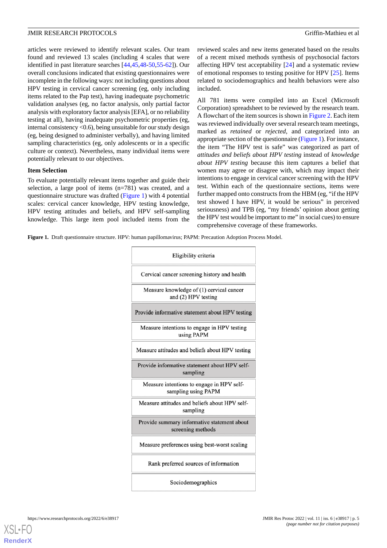articles were reviewed to identify relevant scales. Our team found and reviewed 13 scales (including 4 scales that were identified in past literature searches [\[44](#page-15-1),[45](#page-15-10)[,48](#page-15-3)-[50,](#page-15-5)[55](#page-15-11)[-62](#page-15-12)]). Our overall conclusions indicated that existing questionnaires were incomplete in the following ways: not including questions about HPV testing in cervical cancer screening (eg, only including items related to the Pap test), having inadequate psychometric validation analyses (eg, no factor analysis, only partial factor analysis with exploratory factor analysis [EFA], or no reliability testing at all), having inadequate psychometric properties (eg, internal consistency <0.6), being unsuitable for our study design (eg, being designed to administer verbally), and having limited sampling characteristics (eg, only adolescents or in a specific culture or context). Nevertheless, many individual items were potentially relevant to our objectives.

#### **Item Selection**

To evaluate potentially relevant items together and guide their selection, a large pool of items (n=781) was created, and a questionnaire structure was drafted ([Figure 1\)](#page-4-0) with 4 potential scales: cervical cancer knowledge, HPV testing knowledge, HPV testing attitudes and beliefs, and HPV self-sampling knowledge. This large item pool included items from the reviewed scales and new items generated based on the results of a recent mixed methods synthesis of psychosocial factors affecting HPV test acceptability [\[24](#page-14-14)] and a systematic review of emotional responses to testing positive for HPV [\[25](#page-14-18)]. Items related to sociodemographics and health behaviors were also included.

All 781 items were compiled into an Excel (Microsoft Corporation) spreadsheet to be reviewed by the research team. A flowchart of the item sources is shown in [Figure 2](#page-5-0). Each item was reviewed individually over several research team meetings, marked as *retained* or *rejected*, and categorized into an appropriate section of the questionnaire [\(Figure 1\)](#page-4-0). For instance, the item "The HPV test is safe" was categorized as part of *attitudes and beliefs about HPV testing* instead of *knowledge about HPV testing* because this item captures a belief that women may agree or disagree with, which may impact their intentions to engage in cervical cancer screening with the HPV test. Within each of the questionnaire sections, items were further mapped onto constructs from the HBM (eg, "if the HPV test showed I have HPV, it would be serious" in perceived seriousness) and TPB (eg, "my friends' opinion about getting the HPV test would be important to me" in social cues) to ensure comprehensive coverage of these frameworks.

<span id="page-4-0"></span>**Figure 1.** Draft questionnaire structure. HPV: human papillomavirus; PAPM: Precaution Adoption Process Model.

| Eligibility criteria                                             |
|------------------------------------------------------------------|
| Cervical cancer screening history and health                     |
| Measure knowledge of (1) cervical cancer<br>and (2) HPV testing  |
| Provide informative statement about HPV testing                  |
| Measure intentions to engage in HPV testing<br>using PAPM        |
| Measure attitudes and beliefs about HPV testing                  |
| Provide informative statement about HPV self-<br>sampling        |
| Measure intentions to engage in HPV self-<br>sampling using PAPM |
| Measure attitudes and beliefs about HPV self-<br>sampling        |
| Provide summary informative statement about<br>screening methods |
| Measure preferences using best-worst scaling                     |
| Rank preferred sources of information                            |
| Sociodemographics                                                |

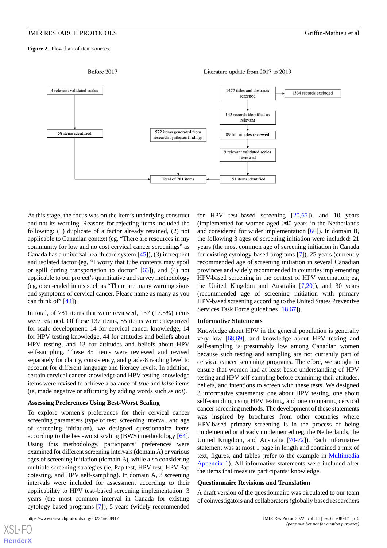<span id="page-5-0"></span>Figure 2. Flowchart of item sources.



At this stage, the focus was on the item's underlying construct and not its wording. Reasons for rejecting items included the following: (1) duplicate of a factor already retained, (2) not applicable to Canadian context (eg, "There are resources in my community for low and no cost cervical cancer screenings" as Canada has a universal health care system [\[45](#page-15-10)]), (3) infrequent and isolated factor (eg, "I worry that tube contents may spoil or spill during transportation to doctor" [\[63](#page-15-13)]), and (4) not applicable to our project's quantitative and survey methodology (eg, open-ended items such as "There are many warning signs and symptoms of cervical cancer. Please name as many as you can think of"  $[44]$  $[44]$ ).

In total, of 781 items that were reviewed, 137 (17.5%) items were retained. Of these 137 items, 85 items were categorized for scale development: 14 for cervical cancer knowledge, 14 for HPV testing knowledge, 44 for attitudes and beliefs about HPV testing, and 13 for attitudes and beliefs about HPV self-sampling. These 85 items were reviewed and revised separately for clarity, consistency, and grade-8 reading level to account for different language and literacy levels. In addition, certain cervical cancer knowledge and HPV testing knowledge items were revised to achieve a balance of *true* and *false* items (ie, made negative or affirming by adding words such as *not*).

#### **Assessing Preferences Using Best-Worst Scaling**

To explore women's preferences for their cervical cancer screening parameters (type of test, screening interval, and age of screening initiation), we designed questionnaire items according to the best-worst scaling (BWS) methodology [[64\]](#page-16-0). Using this methodology, participants' preferences were examined for different screening intervals (domain A) or various ages of screening initiation (domain B), while also considering multiple screening strategies (ie, Pap test, HPV test, HPV-Pap cotesting, and HPV self-sampling). In domain A, 3 screening intervals were included for assessment according to their applicability to HPV test–based screening implementation: 3 years (the most common interval in Canada for existing cytology-based programs [\[7](#page-13-5)]), 5 years (widely recommended

[XSL](http://www.w3.org/Style/XSL)•FO **[RenderX](http://www.renderx.com/)**

for HPV test–based screening  $[20,65]$  $[20,65]$  $[20,65]$ ), and 10 years (implemented for women aged ≥40 years in the Netherlands and considered for wider implementation [\[66](#page-16-2)]). In domain B, the following 3 ages of screening initiation were included: 21 years (the most common age of screening initiation in Canada for existing cytology-based programs [[7\]](#page-13-5)), 25 years (currently recommended age of screening initiation in several Canadian provinces and widely recommended in countries implementing HPV-based screening in the context of HPV vaccination; eg, the United Kingdom and Australia [[7,](#page-13-5)[20](#page-13-18)]), and 30 years (recommended age of screening initiation with primary HPV-based screening according to the United States Preventive Services Task Force guidelines [\[18](#page-13-16),[67\]](#page-16-3)).

#### **Informative Statements**

Knowledge about HPV in the general population is generally very low [\[68](#page-16-4),[69\]](#page-16-5), and knowledge about HPV testing and self-sampling is presumably low among Canadian women because such testing and sampling are not currently part of cervical cancer screening programs. Therefore, we sought to ensure that women had at least basic understanding of HPV testing and HPV self-sampling before examining their attitudes, beliefs, and intentions to screen with these tests. We designed 3 informative statements: one about HPV testing, one about self-sampling using HPV testing, and one comparing cervical cancer screening methods. The development of these statements was inspired by brochures from other countries where HPV-based primary screening is in the process of being implemented or already implemented (eg, the Netherlands, the United Kingdom, and Australia [\[70](#page-16-6)-[72\]](#page-16-7)). Each informative statement was at most 1 page in length and contained a mix of text, figures, and tables (refer to the example in [Multimedia](#page-12-0) [Appendix 1\)](#page-12-0). All informative statements were included after the items that measure participants' knowledge.

#### **Questionnaire Revisions and Translation**

A draft version of the questionnaire was circulated to our team of coinvestigators and collaborators (globally based researchers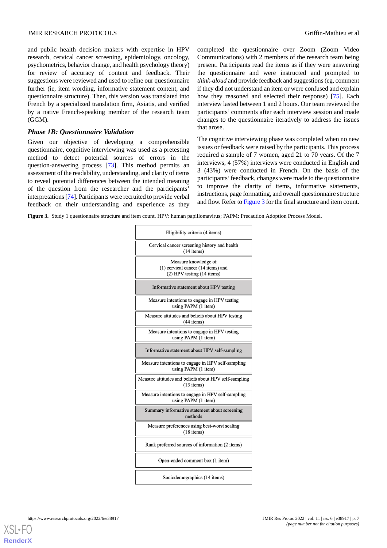and public health decision makers with expertise in HPV research, cervical cancer screening, epidemiology, oncology, psychometrics, behavior change, and health psychology theory) for review of accuracy of content and feedback. Their suggestions were reviewed and used to refine our questionnaire further (ie, item wording, informative statement content, and questionnaire structure). Then, this version was translated into French by a specialized translation firm, Asiatis, and verified by a native French-speaking member of the research team (GGM).

#### *Phase 1B: Questionnaire Validation*

Given our objective of developing a comprehensible questionnaire, cognitive interviewing was used as a pretesting method to detect potential sources of errors in the question-answering process [[73\]](#page-16-8). This method permits an assessment of the readability, understanding, and clarity of items to reveal potential differences between the intended meaning of the question from the researcher and the participants' interpretations [[74\]](#page-16-9). Participants were recruited to provide verbal feedback on their understanding and experience as they

completed the questionnaire over Zoom (Zoom Video Communications) with 2 members of the research team being present. Participants read the items as if they were answering the questionnaire and were instructed and prompted to *think-aloud* and provide feedback and suggestions (eg, comment if they did not understand an item or were confused and explain how they reasoned and selected their response) [\[75](#page-16-10)]. Each interview lasted between 1 and 2 hours. Our team reviewed the participants' comments after each interview session and made changes to the questionnaire iteratively to address the issues that arose.

The cognitive interviewing phase was completed when no new issues or feedback were raised by the participants. This process required a sample of 7 women, aged 21 to 70 years. Of the 7 interviews, 4 (57%) interviews were conducted in English and 3 (43%) were conducted in French. On the basis of the participants'feedback, changes were made to the questionnaire to improve the clarity of items, informative statements, instructions, page formatting, and overall questionnaire structure and flow. Refer to [Figure 3](#page-6-0) for the final structure and item count.

<span id="page-6-0"></span>**Figure 3.** Study 1 questionnaire structure and item count. HPV: human papillomavirus; PAPM: Precaution Adoption Process Model.

| Eligibility criteria (4 items)                                                               |
|----------------------------------------------------------------------------------------------|
| Cervical cancer screening history and health<br>$(14$ items)                                 |
| Measure knowledge of<br>$(1)$ cervical cancer $(14$ items) and<br>(2) HPV testing (14 items) |
| Informative statement about HPV testing                                                      |
| Measure intentions to engage in HPV testing<br>using PAPM (1 item)                           |
| Measure attitudes and beliefs about HPV testing<br>$(44$ items)                              |
| Measure intentions to engage in HPV testing<br>using PAPM (1 item)                           |
| Informative statement about HPV self-sampling                                                |
| Measure intentions to engage in HPV self-sampling<br>using PAPM (1 item)                     |
| Measure attitudes and beliefs about HPV self-sampling<br>$(13$ items)                        |
| Measure intentions to engage in HPV self-sampling<br>using PAPM (1 item)                     |
| Summary informative statement about screening<br>methods                                     |
| Measure preferences using best-worst scaling<br>(18 items)                                   |
| Rank preferred sources of information (2 items)                                              |
| Open-ended comment box (1 item)                                                              |
| Sociodemographics (14 items)                                                                 |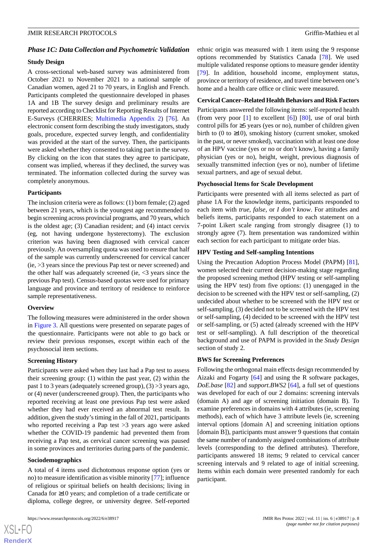#### *Phase 1C: Data Collection and Psychometric Validation*

#### **Study Design**

A cross-sectional web-based survey was administered from October 2021 to November 2021 to a national sample of Canadian women, aged 21 to 70 years, in English and French. Participants completed the questionnaire developed in phases 1A and 1B The survey design and preliminary results are reported according to Checklist for Reporting Results of Internet E-Surveys (CHERRIES; [Multimedia Appendix 2\)](#page-12-1) [\[76](#page-16-11)]. An electronic consent form describing the study investigators, study goals, procedure, expected survey length, and confidentiality was provided at the start of the survey. Then, the participants were asked whether they consented to taking part in the survey. By clicking on the icon that states they agree to participate, consent was implied, whereas if they declined, the survey was terminated. The information collected during the survey was completely anonymous.

#### **Participants**

The inclusion criteria were as follows: (1) born female; (2) aged between 21 years, which is the youngest age recommended to begin screening across provincial programs, and 70 years, which is the oldest age; (3) Canadian resident; and (4) intact cervix (eg, not having undergone hysterectomy). The exclusion criterion was having been diagnosed with cervical cancer previously. An oversampling quota was used to ensure that half of the sample was currently underscreened for cervical cancer (ie, >3 years since the previous Pap test or never screened) and the other half was adequately screened (ie, <3 years since the previous Pap test). Census-based quotas were used for primary language and province and territory of residence to reinforce sample representativeness.

#### **Overview**

The following measures were administered in the order shown in [Figure 3](#page-6-0). All questions were presented on separate pages of the questionnaire. Participants were not able to go back or review their previous responses, except within each of the psychosocial item sections.

#### **Screening History**

Participants were asked when they last had a Pap test to assess their screening group: (1) within the past year, (2) within the past 1 to 3 years (adequately screened group), (3) >3 years ago, or (4) never (underscreened group). Then, the participants who reported receiving at least one previous Pap test were asked whether they had ever received an abnormal test result. In addition, given the study's timing in the fall of 2021, participants who reported receiving a Pap test >3 years ago were asked whether the COVID-19 pandemic had prevented them from receiving a Pap test, as cervical cancer screening was paused in some provinces and territories during parts of the pandemic.

#### **Sociodemographics**

[XSL](http://www.w3.org/Style/XSL)•FO **[RenderX](http://www.renderx.com/)**

A total of 4 items used dichotomous response option (yes or no) to measure identification as visible minority [\[77](#page-16-12)]; influence of religious or spiritual beliefs on health decisions; living in Canada for ≥10 years; and completion of a trade certificate or diploma, college degree, or university degree. Self-reported

ethnic origin was measured with 1 item using the 9 response options recommended by Statistics Canada [\[78](#page-16-13)]. We used multiple validated response options to measure gender identity [[79\]](#page-16-14). In addition, household income, employment status, province or territory of residence, and travel time between one's home and a health care office or clinic were measured.

#### **Cervical Cancer–Related Health Behaviors and Risk Factors**

Participants answered the following items: self-reported health (from very poor  $[1]$  $[1]$  to excellent  $[6]$  $[6]$  $[6]$ )  $[80]$  $[80]$ , use of oral birth control pills for ≥5 years (yes or no), number of children given birth to (0 to  $\geq$ 10), smoking history (current smoker, smoked in the past, or never smoked), vaccination with at least one dose of an HPV vaccine (yes or no or don't know), having a family physician (yes or no), height, weight, previous diagnosis of sexually transmitted infection (yes or no), number of lifetime sexual partners, and age of sexual debut.

#### **Psychosocial Items for Scale Development**

Participants were presented with all items selected as part of phase 1A For the knowledge items, participants responded to each item with *true*, *false*, or *I don't know*. For attitudes and beliefs items, participants responded to each statement on a 7-point Likert scale ranging from strongly disagree (1) to strongly agree (7). Item presentation was randomized within each section for each participant to mitigate order bias.

#### **HPV Testing and Self-sampling Intentions**

Using the Precaution Adoption Process Model (PAPM) [[81\]](#page-16-16), women selected their current decision-making stage regarding the proposed screening method (HPV testing or self-sampling using the HPV test) from five options: (1) unengaged in the decision to be screened with the HPV test or self-sampling, (2) undecided about whether to be screened with the HPV test or self-sampling, (3) decided not to be screened with the HPV test or self-sampling, (4) decided to be screened with the HPV test or self-sampling, or (5) acted (already screened with the HPV test or self-sampling). A full description of the theoretical background and use of PAPM is provided in the *Study Design* section of study 2.

#### **BWS for Screening Preferences**

Following the orthogonal main effects design recommended by Aizaki and Fogarty [[64\]](#page-16-0) and using the R software packages, *DoE.base* [\[82](#page-16-17)] and *support.BWS2* [[64\]](#page-16-0), a full set of questions was developed for each of our 2 domains: screening intervals (domain A) and age of screening initiation (domain B). To examine preferences in domains with 4 attributes (ie, screening methods), each of which have 3 attribute levels (ie, screening interval options [domain A] and screening initiation options [domain B]), participants must answer 9 questions that contain the same number of randomly assigned combinations of attribute levels (corresponding to the defined attributes). Therefore, participants answered 18 items; 9 related to cervical cancer screening intervals and 9 related to age of initial screening. Items within each domain were presented randomly for each participant.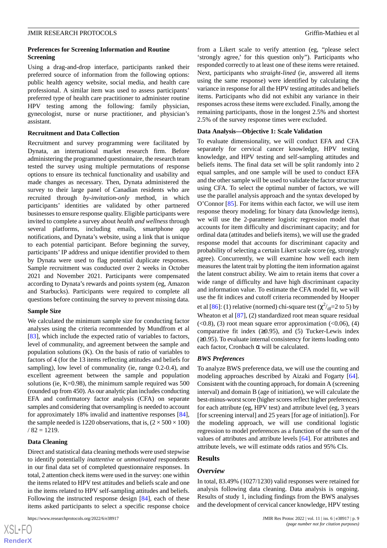#### **Preferences for Screening Information and Routine Screening**

Using a drag-and-drop interface, participants ranked their preferred source of information from the following options: public health agency website, social media, and health care professional. A similar item was used to assess participants' preferred type of health care practitioner to administer routine HPV testing among the following: family physician, gynecologist, nurse or nurse practitioner, and physician's assistant.

#### **Recruitment and Data Collection**

Recruitment and survey programming were facilitated by Dynata, an international market research firm. Before administering the programmed questionnaire, the research team tested the survey using multiple permutations of response options to ensure its technical functionality and usability and made changes as necessary. Then, Dynata administered the survey to their large panel of Canadian residents who are recruited through *by-invitation-only* method, in which participants' identities are validated by other partnered businesses to ensure response quality. Eligible participants were invited to complete a survey about *health and wellness* through several platforms, including emails, smartphone app notifications, and Dynata's website, using a link that is unique to each potential participant. Before beginning the survey, participants' IP address and unique identifier provided to them by Dynata were used to flag potential duplicate responses. Sample recruitment was conducted over 2 weeks in October 2021 and November 2021. Participants were compensated according to Dynata's rewards and points system (eg, Amazon and Starbucks). Participants were required to complete all questions before continuing the survey to prevent missing data.

## **Sample Size**

We calculated the minimum sample size for conducting factor analyses using the criteria recommended by Mundfrom et al [[83\]](#page-16-18), which include the expected ratio of variables to factors, level of communality, and agreement between the sample and population solutions (K). On the basis of ratio of variables to factors of 4 (for the 13 items reflecting attitudes and beliefs for sampling), low level of communality (ie, range 0.2-0.4), and excellent agreement between the sample and population solutions (ie,  $K=0.98$ ), the minimum sample required was 500 (rounded up from 450). As our analytic plan includes conducting EFA and confirmatory factor analysis (CFA) on separate samples and considering that oversampling is needed to account for approximately 18% invalid and inattentive responses [[84\]](#page-16-19), the sample needed is 1220 observations, that is,  $(2 \times 500 \times 100)$  $/ 82 = 1219.$ 

## **Data Cleaning**

Direct and statistical data cleaning methods were used stepwise to identify potentially *inattentive* or *unmotivated* respondents in our final data set of completed questionnaire responses. In total, 2 attention check items were used in the survey: one within the items related to HPV test attitudes and beliefs scale and one in the items related to HPV self-sampling attitudes and beliefs. Following the instructed response design [[84\]](#page-16-19), each of these items asked participants to select a specific response choice

from a Likert scale to verify attention (eg, "please select 'strongly agree,' for this question only"). Participants who responded correctly to at least one of these items were retained. Next, participants who *straight-lined* (ie, answered all items using the same response) were identified by calculating the variance in response for all the HPV testing attitudes and beliefs items. Participants who did not exhibit any variance in their responses across these items were excluded. Finally, among the remaining participants, those in the longest 2.5% and shortest 2.5% of the survey response times were excluded.

#### **Data Analysis—Objective 1: Scale Validation**

To evaluate dimensionality, we will conduct EFA and CFA separately for cervical cancer knowledge, HPV testing knowledge, and HPV testing and self-sampling attitudes and beliefs items. The final data set will be split randomly into 2 equal samples, and one sample will be used to conduct EFA and the other sample will be used to validate the factor structure using CFA. To select the optimal number of factors, we will use the parallel analysis approach and the syntax developed by O'Connor [\[85](#page-16-20)]. For items within each factor, we will use item response theory modeling; for binary data (knowledge items), we will use the 2-parameter logistic regression model that accounts for item difficulty and discriminant capacity; and for ordinal data (attitudes and beliefs items), we will use the graded response model that accounts for discriminant capacity and probability of selecting a certain Likert scale score (eg, strongly agree). Concurrently, we will examine how well each item measures the latent trait by plotting the item information against the latent construct ability. We aim to retain items that cover a wide range of difficulty and have high discriminant capacity and information value. To estimate the CFA model fit, we will use the fit indices and cutoff criteria recommended by Hooper et al [[86\]](#page-16-21): (1) relative (normed) chi-square test ( $\chi^2/df$ =2 to 5) by Wheaton et al [[87\]](#page-16-22), (2) standardized root mean square residual  $( $0.8$ ), (3) root mean square error approximation ( $0.06$ ), (4)$ comparative fit index  $(≥0.95)$ , and  $(5)$  Tucker-Lewis index (≥0.95). To evaluate internal consistency for items loading onto each factor, Cronbach  $\alpha$  will be calculated.

## *BWS Preferences*

To analyze BWS preference data, we will use the counting and modeling approaches described by Aizaki and Fogarty [[64\]](#page-16-0). Consistent with the counting approach, for domain A (screening interval) and domain B (age of initiation), we will calculate the best-minus-worst score (higher scores reflect higher preferences) for each attribute (eg, HPV test) and attribute level (eg, 3 years [for screening interval] and 25 years [for age of initiation]). For the modeling approach, we will use conditional logistic regression to model preferences as a function of the sum of the values of attributes and attribute levels [[64\]](#page-16-0). For attributes and attribute levels, we will estimate odds ratios and 95% CIs.

## **Results**

## *Overview*

In total, 83.49% (1027/1230) valid responses were retained for analysis following data cleaning. Data analysis is ongoing. Results of study 1, including findings from the BWS analyses and the development of cervical cancer knowledge, HPV testing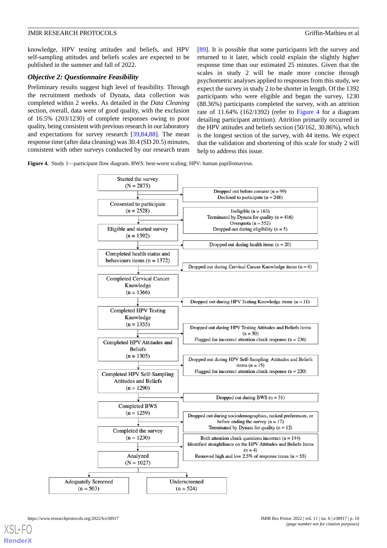knowledge, HPV testing attitudes and beliefs, and HPV self-sampling attitudes and beliefs scales are expected to be published in the summer and fall of 2022.

## *Objective 2: Questionnaire Feasibility*

Preliminary results suggest high level of feasibility. Through the recruitment methods of Dynata, data collection was completed within 2 weeks. As detailed in the *Data Cleaning* section, overall, data were of good quality, with the exclusion of 16.5% (203/1230) of complete responses owing to poor quality, being consistent with previous research in our laboratory and expectations for survey research [\[39](#page-14-15),[84](#page-16-19)[,88](#page-16-23)]. The mean response time (after data cleaning) was 30.4 (SD 20.5) minutes, consistent with other surveys conducted by our research team

[[89\]](#page-17-0). It is possible that some participants left the survey and returned to it later, which could explain the slightly higher response time than our estimated 25 minutes. Given that the scales in study 2 will be made more concise through psychometric analyses applied to responses from this study, we expect the survey in study 2 to be shorter in length. Of the 1392 participants who were eligible and began the survey, 1230 (88.36%) participants completed the survey, with an attrition rate of 11.64% (162/1392) (refer to [Figure 4](#page-9-0) for a diagram detailing participant attrition). Attrition primarily occurred in the HPV attitudes and beliefs section (50/162, 30.86%), which is the longest section of the survey, with 44 items. We expect that the validation and shortening of this scale for study 2 will help to address this issue.

<span id="page-9-0"></span>**Figure 4.** Study 1—participant flow diagram. BWS: best-worst scaling; HPV: human papillomavirus.

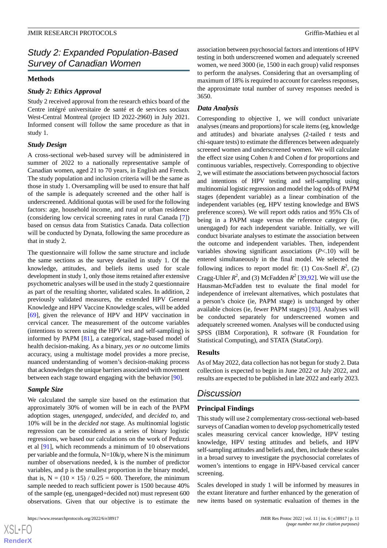## *Study 2: Expanded Population-Based Survey of Canadian Women*

## **Methods**

## *Study 2: Ethics Approval*

Study 2 received approval from the research ethics board of the Centre intégré universitaire de santé et de services sociaux West-Central Montreal (project ID 2022-2960) in July 2021. Informed consent will follow the same procedure as that in study 1.

## *Study Design*

A cross-sectional web-based survey will be administered in summer of 2022 to a nationally representative sample of Canadian women, aged 21 to 70 years, in English and French. The study population and inclusion criteria will be the same as those in study 1. Oversampling will be used to ensure that half of the sample is adequately screened and the other half is underscreened. Additional quotas will be used for the following factors: age, household income, and rural or urban residence (considering low cervical screening rates in rural Canada [[7\]](#page-13-5)) based on census data from Statistics Canada. Data collection will be conducted by Dynata, following the same procedure as that in study 2.

The questionnaire will follow the same structure and include the same sections as the survey detailed in study 1. Of the knowledge, attitudes, and beliefs items used for scale development in study 1, only those items retained after extensive psychometric analyses will be used in the study 2 questionnaire as part of the resulting shorter, validated scales. In addition, 2 previously validated measures, the extended HPV General Knowledge and HPV Vaccine Knowledge scales, will be added [[69\]](#page-16-5), given the relevance of HPV and HPV vaccination in cervical cancer. The measurement of the outcome variables (intentions to screen using the HPV test and self-sampling) is informed by PAPM [[81\]](#page-16-16), a categorical, stage-based model of health decision-making. As a binary, *yes or no* outcome limits accuracy, using a multistage model provides a more precise, nuanced understanding of women's decision-making process that acknowledges the unique barriers associated with movement between each stage toward engaging with the behavior [[90\]](#page-17-1).

## *Sample Size*

We calculated the sample size based on the estimation that approximately 30% of women will be in each of the PAPM adoption stages, *unengaged*, *undecided*, and *decided to*, and 10% will be in the *decided not* stage*.* As multinomial logistic regression can be considered as a series of binary logistic regressions, we based our calculations on the work of Peduzzi et al [\[91](#page-17-2)], which recommends a minimum of 10 observations per variable and the formula,  $N=10k/p$ , where N is the minimum number of observations needed, k is the number of predictor variables, and p is the smallest proportion in the binary model, that is,  $N = (10 \times 15) / 0.25 = 600$ . Therefore, the minimum sample needed to reach sufficient power is 1500 because 40% of the sample (eg, unengaged+decided not) must represent 600 observations. Given that our objective is to estimate the

association between psychosocial factors and intentions of HPV testing in both underscreened women and adequately screened women, we need 3000 (ie, 1500 in each group) valid responses to perform the analyses. Considering that an oversampling of maximum of 18% is required to account for careless responses, the approximate total number of survey responses needed is 3650.

## *Data Analysis*

Corresponding to objective 1, we will conduct univariate analyses (means and proportions) for scale items (eg, knowledge and attitudes) and bivariate analyses (2-tailed *t* tests and chi-square tests) to estimate the differences between adequately screened women and underscreened women. We will calculate the effect size using Cohen *h* and Cohen *d* for proportions and continuous variables, respectively. Corresponding to objective 2, we will estimate the associations between psychosocial factors and intentions of HPV testing and self-sampling using multinomial logistic regression and model the log odds of PAPM stages (dependent variable) as a linear combination of the independent variables (eg, HPV testing knowledge and BWS preference scores). We will report odds ratios and 95% CIs of being in a PAPM stage versus the reference category (ie, unengaged) for each independent variable. Initially, we will conduct bivariate analyses to estimate the association between the outcome and independent variables. Then, independent variables showing significant associations (*P*<.10) will be entered simultaneously in the final model. We selected the following indices to report model fit: (1) Cox-Snell  $R^2$ , (2) Cragg-Uhler  $R^2$ , and (3) McFadden  $R^2$  [\[39](#page-14-15),[92\]](#page-17-3). We will use the Hausman-McFadden test to evaluate the final model for independence of irrelevant alternatives, which postulates that a person's choice (ie, PAPM stage) is unchanged by other available choices (ie, fewer PAPM stages) [\[93](#page-17-4)]. Analyses will be conducted separately for underscreened women and adequately screened women. Analyses will be conducted using SPSS (IBM Corporation), R software (R Foundation for Statistical Computing), and STATA (StataCorp).

## **Results**

As of May 2022, data collection has not begun for study 2. Data collection is expected to begin in June 2022 or July 2022, and results are expected to be published in late 2022 and early 2023.

## *Discussion*

## **Principal Findings**

This study will use 2 complementary cross-sectional web-based surveys of Canadian women to develop psychometrically tested scales measuring cervical cancer knowledge, HPV testing knowledge, HPV testing attitudes and beliefs, and HPV self-sampling attitudes and beliefs and, then, include these scales in a broad survey to investigate the psychosocial correlates of women's intentions to engage in HPV-based cervical cancer screening.

Scales developed in study 1 will be informed by measures in the extant literature and further enhanced by the generation of new items based on systematic evaluation of themes in the

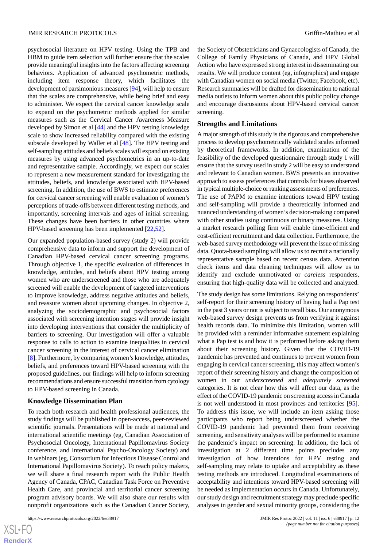psychosocial literature on HPV testing. Using the TPB and HBM to guide item selection will further ensure that the scales provide meaningful insights into the factors affecting screening behaviors. Application of advanced psychometric methods, including item response theory, which facilitates the development of parsimonious measures [\[94](#page-17-5)], will help to ensure that the scales are comprehensive, while being brief and easy to administer. We expect the cervical cancer knowledge scale to expand on the psychometric methods applied for similar measures such as the Cervical Cancer Awareness Measure developed by Simon et al [\[44](#page-15-1)] and the HPV testing knowledge scale to show increased reliability compared with the existing subscale developed by Waller et al [[48\]](#page-15-3). The HPV testing and self-sampling attitudes and beliefs scales will expand on existing measures by using advanced psychometrics in an up-to-date and representative sample. Accordingly, we expect our scales to represent a new measurement standard for investigating the attitudes, beliefs, and knowledge associated with HPV-based screening. In addition, the use of BWS to estimate preferences for cervical cancer screening will enable evaluation of women's perceptions of trade-offs between different testing methods, and importantly, screening intervals and ages of initial screening. These changes have been barriers in other countries where HPV-based screening has been implemented [\[22](#page-14-0),[52\]](#page-15-7).

Our expanded population-based survey (study 2) will provide comprehensive data to inform and support the development of Canadian HPV-based cervical cancer screening programs. Through objective 1, the specific evaluation of differences in knowledge, attitudes, and beliefs about HPV testing among women who are underscreened and those who are adequately screened will enable the development of targeted interventions to improve knowledge, address negative attitudes and beliefs, and reassure women about upcoming changes. In objective 2, analyzing the sociodemographic and psychosocial factors associated with screening intention stages will provide insight into developing interventions that consider the multiplicity of barriers to screening. Our investigation will offer a valuable response to calls to action to examine inequalities in cervical cancer screening in the interest of cervical cancer elimination [[8\]](#page-13-6). Furthermore, by comparing women's knowledge, attitudes, beliefs, and preferences toward HPV-based screening with the proposed guidelines, our findings will help to inform screening recommendations and ensure successful transition from cytology to HPV-based screening in Canada.

## **Knowledge Dissemination Plan**

To reach both research and health professional audiences, the study findings will be published in open-access, peer-reviewed scientific journals. Presentations will be made at national and international scientific meetings (eg, Canadian Association of Psychosocial Oncology, International Papillomavirus Society conference, and International Psycho-Oncology Society) and in webinars (eg, Consortium for Infectious Disease Control and International Papillomavirus Society). To reach policy makers, we will share a final research report with the Public Health Agency of Canada, CPAC, Canadian Task Force on Preventive Health Care, and provincial and territorial cancer screening program advisory boards. We will also share our results with nonprofit organizations such as the Canadian Cancer Society,

the Society of Obstetricians and Gynaecologists of Canada, the College of Family Physicians of Canada, and HPV Global Action who have expressed strong interest in disseminating our results. We will produce content (eg, infographics) and engage with Canadian women on social media (Twitter, Facebook, etc). Research summaries will be drafted for dissemination to national media outlets to inform women about this public policy change and encourage discussions about HPV-based cervical cancer screening.

#### **Strengths and Limitations**

A major strength of this study is the rigorous and comprehensive process to develop psychometrically validated scales informed by theoretical frameworks. In addition, examination of the feasibility of the developed questionnaire through study 1 will ensure that the survey used in study 2 will be easy to understand and relevant to Canadian women. BWS presents an innovative approach to assess preferences that controls for biases observed in typical multiple-choice or ranking assessments of preferences. The use of PAPM to examine intentions toward HPV testing and self-sampling will provide a theoretically informed and nuanced understanding of women's decision-making compared with other studies using continuous or binary measures. Using a market research polling firm will enable time-efficient and cost-efficient recruitment and data collection. Furthermore, the web-based survey methodology will prevent the issue of missing data. Quota-based sampling will allow us to recruit a nationally representative sample based on recent census data. Attention check items and data cleaning techniques will allow us to identify and exclude unmotivated or *careless* responders, ensuring that high-quality data will be collected and analyzed.

The study design has some limitations. Relying on respondents' self-report for their screening history of having had a Pap test in the past 3 years or not is subject to recall bias. Our anonymous web-based survey design prevents us from verifying it against health records data. To minimize this limitation, women will be provided with a reminder informative statement explaining what a Pap test is and how it is performed before asking them about their screening history. Given that the COVID-19 pandemic has prevented and continues to prevent women from engaging in cervical cancer screening, this may affect women's report of their screening history and change the composition of women in our *underscreened* and *adequately screened* categories. It is not clear how this will affect our data, as the effect of the COVID-19 pandemic on screening access in Canada is not well understood in most provinces and territories [[95\]](#page-17-6). To address this issue, we will include an item asking those participants who report being underscreened whether the COVID-19 pandemic had prevented them from receiving screening, and sensitivity analyses will be performed to examine the pandemic's impact on screening. In addition, the lack of investigation at 2 different time points precludes any investigation of how intentions for HPV testing and self-sampling may relate to uptake and acceptability as these testing methods are introduced. Longitudinal examinations of acceptability and intentions toward HPV-based screening will be needed as implementation occurs in Canada. Unfortunately, our study design and recruitment strategy may preclude specific analyses in gender and sexual minority groups, considering the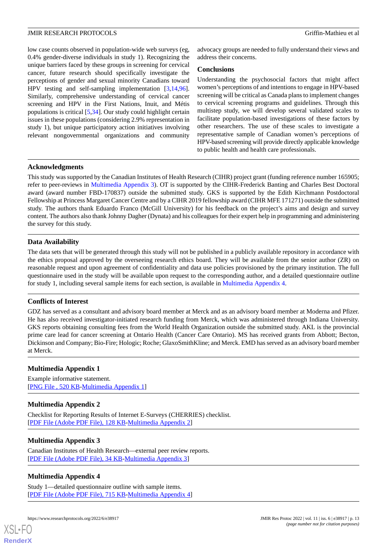low case counts observed in population-wide web surveys (eg, 0.4% gender-diverse individuals in study 1). Recognizing the unique barriers faced by these groups in screening for cervical cancer, future research should specifically investigate the perceptions of gender and sexual minority Canadians toward HPV testing and self-sampling implementation [[3](#page-13-1)[,14](#page-13-12),[96\]](#page-17-7). Similarly, comprehensive understanding of cervical cancer screening and HPV in the First Nations, Inuit, and Métis populations is critical [[5](#page-13-3)[,34](#page-14-9)]. Our study could highlight certain issues in these populations (considering 2.9% representation in study 1), but unique participatory action initiatives involving relevant nongovernmental organizations and community

advocacy groups are needed to fully understand their views and address their concerns.

## **Conclusions**

Understanding the psychosocial factors that might affect women's perceptions of and intentions to engage in HPV-based screening will be critical as Canada plans to implement changes to cervical screening programs and guidelines. Through this multistep study, we will develop several validated scales to facilitate population-based investigations of these factors by other researchers. The use of these scales to investigate a representative sample of Canadian women's perceptions of HPV-based screening will provide directly applicable knowledge to public health and health care professionals.

## **Acknowledgments**

This study was supported by the Canadian Institutes of Health Research (CIHR) project grant (funding reference number 165905; refer to peer-reviews in [Multimedia Appendix 3](#page-12-2)). OT is supported by the CIHR-Frederick Banting and Charles Best Doctoral award (award number FBD-170837) outside the submitted study. GKS is supported by the Edith Kirchmann Postdoctoral Fellowship at Princess Margaret Cancer Centre and by a CIHR 2019 fellowship award (CIHR MFE 171271) outside the submitted study. The authors thank Eduardo Franco (McGill University) for his feedback on the project's aims and design and survey content. The authors also thank Johnny Dagher (Dynata) and his colleagues for their expert help in programming and administering the survey for this study.

## **Data Availability**

The data sets that will be generated through this study will not be published in a publicly available repository in accordance with the ethics proposal approved by the overseeing research ethics board. They will be available from the senior author (ZR) on reasonable request and upon agreement of confidentiality and data use policies provisioned by the primary institution. The full questionnaire used in the study will be available upon request to the corresponding author, and a detailed questionnaire outline for study 1, including several sample items for each section, is available in [Multimedia Appendix 4.](#page-12-3)

## **Conflicts of Interest**

<span id="page-12-0"></span>GDZ has served as a consultant and advisory board member at Merck and as an advisory board member at Moderna and Pfizer. He has also received investigator-initiated research funding from Merck, which was administered through Indiana University. GKS reports obtaining consulting fees from the World Health Organization outside the submitted study. AKL is the provincial prime care lead for cancer screening at Ontario Health (Cancer Care Ontario). MS has received grants from Abbott; Becton, Dickinson and Company; Bio-Fire; Hologic; Roche; GlaxoSmithKline; and Merck. EMD has served as an advisory board member at Merck.

## <span id="page-12-1"></span>**Multimedia Appendix 1**

Example informative statement. [[PNG File , 520 KB-Multimedia Appendix 1](https://jmir.org/api/download?alt_name=resprot_v11i6e38917_app1.png&filename=5eab4fb9e4cb8298f7971ff146073e6a.png)]

## <span id="page-12-2"></span>**Multimedia Appendix 2**

Checklist for Reporting Results of Internet E-Surveys (CHERRIES) checklist. [[PDF File \(Adobe PDF File\), 128 KB](https://jmir.org/api/download?alt_name=resprot_v11i6e38917_app2.pdf&filename=e46ea977749d1e0342906858d0e2b5ed.pdf)-[Multimedia Appendix 2\]](https://jmir.org/api/download?alt_name=resprot_v11i6e38917_app2.pdf&filename=e46ea977749d1e0342906858d0e2b5ed.pdf)

## <span id="page-12-3"></span>**Multimedia Appendix 3**

Canadian Institutes of Health Research—external peer review reports. [[PDF File \(Adobe PDF File\), 34 KB](https://jmir.org/api/download?alt_name=resprot_v11i6e38917_app3.pdf&filename=3ce81a5c05941ded91a8437f0e1bede8.pdf)-[Multimedia Appendix 3\]](https://jmir.org/api/download?alt_name=resprot_v11i6e38917_app3.pdf&filename=3ce81a5c05941ded91a8437f0e1bede8.pdf)

## **Multimedia Appendix 4**

[XSL](http://www.w3.org/Style/XSL)•FO **[RenderX](http://www.renderx.com/)**

Study 1—detailed questionnaire outline with sample items. [[PDF File \(Adobe PDF File\), 715 KB](https://jmir.org/api/download?alt_name=resprot_v11i6e38917_app4.pdf&filename=6d1b8ae311a77d2ce3a5110cbd0c36c8.pdf)-[Multimedia Appendix 4\]](https://jmir.org/api/download?alt_name=resprot_v11i6e38917_app4.pdf&filename=6d1b8ae311a77d2ce3a5110cbd0c36c8.pdf)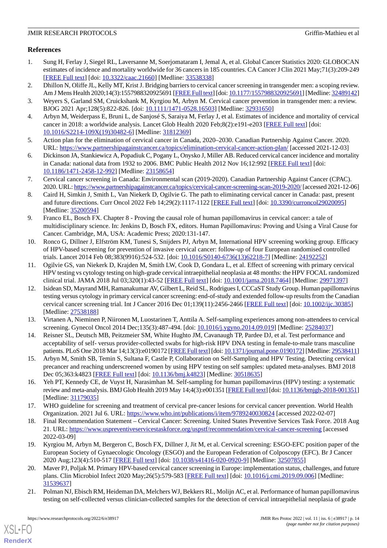## <span id="page-13-0"></span>**References**

- 1. Sung H, Ferlay J, Siegel RL, Laversanne M, Soerjomataram I, Jemal A, et al. Global Cancer Statistics 2020: GLOBOCAN estimates of incidence and mortality worldwide for 36 cancers in 185 countries. CA Cancer J Clin 2021 May;71(3):209-249 [[FREE Full text](https://doi.org/10.3322/caac.21660)] [doi: [10.3322/caac.21660](http://dx.doi.org/10.3322/caac.21660)] [Medline: [33538338\]](http://www.ncbi.nlm.nih.gov/entrez/query.fcgi?cmd=Retrieve&db=PubMed&list_uids=33538338&dopt=Abstract)
- <span id="page-13-20"></span><span id="page-13-1"></span>2. Dhillon N, Oliffe JL, Kelly MT, Krist J. Bridging barriers to cervical cancer screening in transgender men: a scoping review. Am J Mens Health 2020;14(3):1557988320925691 [[FREE Full text](https://journals.sagepub.com/doi/10.1177/1557988320925691?url_ver=Z39.88-2003&rfr_id=ori:rid:crossref.org&rfr_dat=cr_pub%3dpubmed)] [doi: [10.1177/1557988320925691](http://dx.doi.org/10.1177/1557988320925691)] [Medline: [32489142\]](http://www.ncbi.nlm.nih.gov/entrez/query.fcgi?cmd=Retrieve&db=PubMed&list_uids=32489142&dopt=Abstract)
- <span id="page-13-2"></span>3. Weyers S, Garland SM, Cruickshank M, Kyrgiou M, Arbyn M. Cervical cancer prevention in transgender men: a review. BJOG 2021 Apr;128(5):822-826. [doi: [10.1111/1471-0528.16503](http://dx.doi.org/10.1111/1471-0528.16503)] [Medline: [32931650\]](http://www.ncbi.nlm.nih.gov/entrez/query.fcgi?cmd=Retrieve&db=PubMed&list_uids=32931650&dopt=Abstract)
- <span id="page-13-3"></span>4. Arbyn M, Weiderpass E, Bruni L, de Sanjosé S, Saraiya M, Ferlay J, et al. Estimates of incidence and mortality of cervical cancer in 2018: a worldwide analysis. Lancet Glob Health 2020 Feb;8(2):e191-e203 [\[FREE Full text\]](https://linkinghub.elsevier.com/retrieve/pii/S2214-109X(19)30482-6) [doi: [10.1016/S2214-109X\(19\)30482-6\]](http://dx.doi.org/10.1016/S2214-109X(19)30482-6) [Medline: [31812369\]](http://www.ncbi.nlm.nih.gov/entrez/query.fcgi?cmd=Retrieve&db=PubMed&list_uids=31812369&dopt=Abstract)
- <span id="page-13-4"></span>5. Action plan for the elimination of cervical cancer in Canada, 2020–2030. Canadian Partnership Against Cancer. 2020. URL: <https://www.partnershipagainstcancer.ca/topics/elimination-cervical-cancer-action-plan/> [accessed 2021-12-03]
- <span id="page-13-5"></span>6. Dickinson JA, Stankiewicz A, Popadiuk C, Pogany L, Onysko J, Miller AB. Reduced cervical cancer incidence and mortality in Canada: national data from 1932 to 2006. BMC Public Health 2012 Nov 16;12:992 [\[FREE Full text](https://bmcpublichealth.biomedcentral.com/articles/10.1186/1471-2458-12-992)] [doi: [10.1186/1471-2458-12-992\]](http://dx.doi.org/10.1186/1471-2458-12-992) [Medline: [23158654\]](http://www.ncbi.nlm.nih.gov/entrez/query.fcgi?cmd=Retrieve&db=PubMed&list_uids=23158654&dopt=Abstract)
- <span id="page-13-6"></span>7. Cervical cancer screening in Canada: Environmental scan (2019-2020). Canadian Partnership Against Cancer (CPAC). 2020. URL:<https://www.partnershipagainstcancer.ca/topics/cervical-cancer-screening-scan-2019-2020/> [accessed 2021-12-06]
- <span id="page-13-7"></span>8. Caird H, Simkin J, Smith L, Van Niekerk D, Ogilvie G. The path to eliminating cervical cancer in Canada: past, present and future directions. Curr Oncol 2022 Feb 14;29(2):1117-1122 [\[FREE Full text\]](https://www.mdpi.com/resolver?pii=curroncol29020095) [doi: [10.3390/curroncol29020095\]](http://dx.doi.org/10.3390/curroncol29020095) [Medline: [35200594](http://www.ncbi.nlm.nih.gov/entrez/query.fcgi?cmd=Retrieve&db=PubMed&list_uids=35200594&dopt=Abstract)]
- <span id="page-13-8"></span>9. Franco EL, Bosch FX. Chapter 8 - Proving the causal role of human papillomavirus in cervical cancer: a tale of multidisciplinary science. In: Jenkins D, Bosch FX, editors. Human Papillomavirus: Proving and Using a Viral Cause for Cancer. Cambridge, MA, USA: Academic Press; 2020:131-147.
- <span id="page-13-9"></span>10. Ronco G, Dillner J, Elfström KM, Tunesi S, Snijders PJ, Arbyn M, International HPV screening working group. Efficacy of HPV-based screening for prevention of invasive cervical cancer: follow-up of four European randomised controlled trials. Lancet 2014 Feb 08;383(9916):524-532. [doi: [10.1016/S0140-6736\(13\)62218-7](http://dx.doi.org/10.1016/S0140-6736(13)62218-7)] [Medline: [24192252](http://www.ncbi.nlm.nih.gov/entrez/query.fcgi?cmd=Retrieve&db=PubMed&list_uids=24192252&dopt=Abstract)]
- <span id="page-13-10"></span>11. Ogilvie GS, van Niekerk D, Krajden M, Smith LW, Cook D, Gondara L, et al. Effect of screening with primary cervical HPV testing vs cytology testing on high-grade cervical intraepithelial neoplasia at 48 months: the HPV FOCAL randomized clinical trial. JAMA 2018 Jul 03;320(1):43-52 [[FREE Full text](http://europepmc.org/abstract/MED/29971397)] [doi: [10.1001/jama.2018.7464](http://dx.doi.org/10.1001/jama.2018.7464)] [Medline: [29971397\]](http://www.ncbi.nlm.nih.gov/entrez/query.fcgi?cmd=Retrieve&db=PubMed&list_uids=29971397&dopt=Abstract)
- <span id="page-13-12"></span><span id="page-13-11"></span>12. Isidean SD, Mayrand MH, Ramanakumar AV, Gilbert L, Reid SL, Rodrigues I, CCCaST Study Group. Human papillomavirus testing versus cytology in primary cervical cancer screening: end-of-study and extended follow-up results from the Canadian cervical cancer screening trial. Int J Cancer 2016 Dec 01;139(11):2456-2466 [[FREE Full text\]](https://doi.org/10.1002/ijc.30385) [doi: [10.1002/ijc.30385\]](http://dx.doi.org/10.1002/ijc.30385) [Medline: [27538188](http://www.ncbi.nlm.nih.gov/entrez/query.fcgi?cmd=Retrieve&db=PubMed&list_uids=27538188&dopt=Abstract)]
- <span id="page-13-13"></span>13. Virtanen A, Nieminen P, Niironen M, Luostarinen T, Anttila A. Self-sampling experiences among non-attendees to cervical screening. Gynecol Oncol 2014 Dec;135(3):487-494. [doi: [10.1016/j.ygyno.2014.09.019\]](http://dx.doi.org/10.1016/j.ygyno.2014.09.019) [Medline: [25284037\]](http://www.ncbi.nlm.nih.gov/entrez/query.fcgi?cmd=Retrieve&db=PubMed&list_uids=25284037&dopt=Abstract)
- <span id="page-13-14"></span>14. Reisner SL, Deutsch MB, Peitzmeier SM, White Hughto JM, Cavanaugh TP, Pardee DJ, et al. Test performance and acceptability of self- versus provider-collected swabs for high-risk HPV DNA testing in female-to-male trans masculine patients. PLoS One 2018 Mar 14;13(3):e0190172 [\[FREE Full text\]](https://dx.plos.org/10.1371/journal.pone.0190172) [doi: [10.1371/journal.pone.0190172](http://dx.doi.org/10.1371/journal.pone.0190172)] [Medline: [29538411](http://www.ncbi.nlm.nih.gov/entrez/query.fcgi?cmd=Retrieve&db=PubMed&list_uids=29538411&dopt=Abstract)]
- <span id="page-13-15"></span>15. Arbyn M, Smith SB, Temin S, Sultana F, Castle P, Collaboration on Self-Sampling and HPV Testing. Detecting cervical precancer and reaching underscreened women by using HPV testing on self samples: updated meta-analyses. BMJ 2018 Dec 05;363:k4823 [\[FREE Full text\]](http://www.bmj.com/lookup/pmidlookup?view=long&pmid=30518635) [doi: [10.1136/bmj.k4823](http://dx.doi.org/10.1136/bmj.k4823)] [Medline: [30518635](http://www.ncbi.nlm.nih.gov/entrez/query.fcgi?cmd=Retrieve&db=PubMed&list_uids=30518635&dopt=Abstract)]
- <span id="page-13-16"></span>16. Yeh PT, Kennedy CE, de Vuyst H, Narasimhan M. Self-sampling for human papillomavirus (HPV) testing: a systematic review and meta-analysis. BMJ Glob Health 2019 May 14;4(3):e001351 [[FREE Full text\]](https://gh.bmj.com/lookup/pmidlookup?view=long&pmid=31179035) [doi: [10.1136/bmjgh-2018-001351](http://dx.doi.org/10.1136/bmjgh-2018-001351)] [Medline: [31179035](http://www.ncbi.nlm.nih.gov/entrez/query.fcgi?cmd=Retrieve&db=PubMed&list_uids=31179035&dopt=Abstract)]
- <span id="page-13-17"></span>17. WHO guideline for screening and treatment of cervical pre-cancer lesions for cervical cancer prevention. World Health Organization. 2021 Jul 6. URL:<https://www.who.int/publications/i/item/9789240030824> [accessed 2022-02-07]
- <span id="page-13-18"></span>18. Final Recommendation Statement – Cervical Cancer: Screening. United States Preventive Services Task Force. 2018 Aug 21. URL: <https://www.uspreventiveservicestaskforce.org/uspstf/recommendation/cervical-cancer-screening> [accessed 2022-03-09]
- <span id="page-13-19"></span>19. Kyrgiou M, Arbyn M, Bergeron C, Bosch FX, Dillner J, Jit M, et al. Cervical screening: ESGO-EFC position paper of the European Society of Gynaecologic Oncology (ESGO) and the European Federation of Colposcopy (EFC). Br J Cancer 2020 Aug;123(4):510-517 [[FREE Full text](http://europepmc.org/abstract/MED/32507855)] [doi: [10.1038/s41416-020-0920-9](http://dx.doi.org/10.1038/s41416-020-0920-9)] [Medline: [32507855](http://www.ncbi.nlm.nih.gov/entrez/query.fcgi?cmd=Retrieve&db=PubMed&list_uids=32507855&dopt=Abstract)]
- 20. Maver PJ, Poljak M. Primary HPV-based cervical cancer screening in Europe: implementation status, challenges, and future plans. Clin Microbiol Infect 2020 May;26(5):579-583 [[FREE Full text](https://linkinghub.elsevier.com/retrieve/pii/S1198-743X(19)30491-4)] [doi: [10.1016/j.cmi.2019.09.006\]](http://dx.doi.org/10.1016/j.cmi.2019.09.006) [Medline: [31539637](http://www.ncbi.nlm.nih.gov/entrez/query.fcgi?cmd=Retrieve&db=PubMed&list_uids=31539637&dopt=Abstract)]
- 21. Polman NJ, Ebisch RM, Heideman DA, Melchers WJ, Bekkers RL, Molijn AC, et al. Performance of human papillomavirus testing on self-collected versus clinician-collected samples for the detection of cervical intraepithelial neoplasia of grade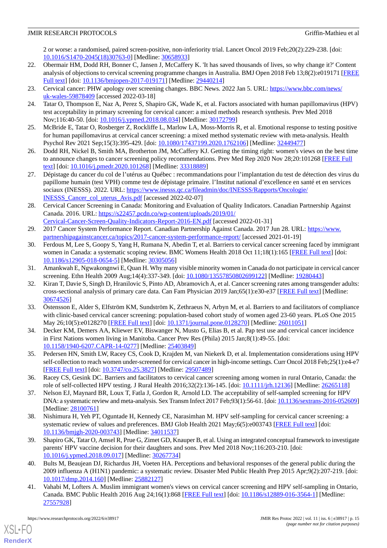2 or worse: a randomised, paired screen-positive, non-inferiority trial. Lancet Oncol 2019 Feb;20(2):229-238. [doi: [10.1016/S1470-2045\(18\)30763-0\]](http://dx.doi.org/10.1016/S1470-2045(18)30763-0) [Medline: [30658933](http://www.ncbi.nlm.nih.gov/entrez/query.fcgi?cmd=Retrieve&db=PubMed&list_uids=30658933&dopt=Abstract)]

- <span id="page-14-0"></span>22. Obermair HM, Dodd RH, Bonner C, Jansen J, McCaffery K. 'It has saved thousands of lives, so why change it?' Content analysis of objections to cervical screening programme changes in Australia. BMJ Open 2018 Feb 13;8(2):e019171 [\[FREE](https://bmjopen.bmj.com/lookup/pmidlookup?view=long&pmid=29440214) [Full text\]](https://bmjopen.bmj.com/lookup/pmidlookup?view=long&pmid=29440214) [doi: [10.1136/bmjopen-2017-019171](http://dx.doi.org/10.1136/bmjopen-2017-019171)] [Medline: [29440214\]](http://www.ncbi.nlm.nih.gov/entrez/query.fcgi?cmd=Retrieve&db=PubMed&list_uids=29440214&dopt=Abstract)
- <span id="page-14-14"></span><span id="page-14-1"></span>23. Cervical cancer: PHW apology over screening changes. BBC News. 2022 Jan 5. URL: [https://www.bbc.com/news/](https://www.bbc.com/news/uk-wales-59878409) [uk-wales-59878409](https://www.bbc.com/news/uk-wales-59878409) [accessed 2022-03-18]
- <span id="page-14-18"></span>24. Tatar O, Thompson E, Naz A, Perez S, Shapiro GK, Wade K, et al. Factors associated with human papillomavirus (HPV) test acceptability in primary screening for cervical cancer: a mixed methods research synthesis. Prev Med 2018 Nov;116:40-50. [doi: [10.1016/j.ypmed.2018.08.034](http://dx.doi.org/10.1016/j.ypmed.2018.08.034)] [Medline: [30172799\]](http://www.ncbi.nlm.nih.gov/entrez/query.fcgi?cmd=Retrieve&db=PubMed&list_uids=30172799&dopt=Abstract)
- <span id="page-14-2"></span>25. McBride E, Tatar O, Rosberger Z, Rockliffe L, Marlow LA, Moss-Morris R, et al. Emotional response to testing positive for human papillomavirus at cervical cancer screening: a mixed method systematic review with meta-analysis. Health Psychol Rev 2021 Sep;15(3):395-429. [doi: [10.1080/17437199.2020.1762106\]](http://dx.doi.org/10.1080/17437199.2020.1762106) [Medline: [32449477](http://www.ncbi.nlm.nih.gov/entrez/query.fcgi?cmd=Retrieve&db=PubMed&list_uids=32449477&dopt=Abstract)]
- <span id="page-14-3"></span>26. Dodd RH, Nickel B, Smith MA, Brotherton JM, McCaffery KJ. Getting the timing right: women's views on the best time to announce changes to cancer screening policy recommendations. Prev Med Rep 2020 Nov 28;20:101268 [[FREE Full](https://linkinghub.elsevier.com/retrieve/pii/S2211-3355(20)30226-6) [text](https://linkinghub.elsevier.com/retrieve/pii/S2211-3355(20)30226-6)] [doi: [10.1016/j.pmedr.2020.101268](http://dx.doi.org/10.1016/j.pmedr.2020.101268)] [Medline: [33318889\]](http://www.ncbi.nlm.nih.gov/entrez/query.fcgi?cmd=Retrieve&db=PubMed&list_uids=33318889&dopt=Abstract)
- <span id="page-14-4"></span>27. Dépistage du cancer du col de l'utérus au Québec : recommandations pour l'implantation du test de détection des virus du papillome humain (test VPH) comme test de dépistage primaire. l'Institut national d'excellence en santé et en services sociaux (INESSS). 2022. URL: [https://www.inesss.qc.ca/fileadmin/doc/INESSS/Rapports/Oncologie/](https://www.inesss.qc.ca/fileadmin/doc/INESSS/Rapports/Oncologie/INESSS_Cancer_col_uterus_Avis.pdf) [INESSS\\_Cancer\\_col\\_uterus\\_Avis.pdf](https://www.inesss.qc.ca/fileadmin/doc/INESSS/Rapports/Oncologie/INESSS_Cancer_col_uterus_Avis.pdf) [accessed 2022-02-07]
- <span id="page-14-5"></span>28. Cervical Cancer Screening in Canada: Monitoring and Evaluation of Quality Indicators. Canadian Partnership Against Canada. 2016. URL: [https://s22457.pcdn.co/wp-content/uploads/2019/01/](https://s22457.pcdn.co/wp-content/uploads/2019/01/Cervical-Cancer-Screen-Quality-Indicators-Report-2016-EN.pdf) [Cervical-Cancer-Screen-Quality-Indicators-Report-2016-EN.pdf](https://s22457.pcdn.co/wp-content/uploads/2019/01/Cervical-Cancer-Screen-Quality-Indicators-Report-2016-EN.pdf) [accessed 2022-01-31]
- <span id="page-14-6"></span>29. 2017 Cancer System Performance Report. Canadian Partnership Against Canada. 2017 Jun 28. URL: [https://www.](https://www.partnershipagainstcancer.ca/topics/2017-cancer-system-performance-report/) [partnershipagainstcancer.ca/topics/2017-cancer-system-performance-report/](https://www.partnershipagainstcancer.ca/topics/2017-cancer-system-performance-report/) [accessed 2021-01-19]
- <span id="page-14-8"></span>30. Ferdous M, Lee S, Goopy S, Yang H, Rumana N, Abedin T, et al. Barriers to cervical cancer screening faced by immigrant women in Canada: a systematic scoping review. BMC Womens Health 2018 Oct 11;18(1):165 [[FREE Full text](https://bmcwomenshealth.biomedcentral.com/articles/10.1186/s12905-018-0654-5)] [doi: [10.1186/s12905-018-0654-5\]](http://dx.doi.org/10.1186/s12905-018-0654-5) [Medline: [30305056](http://www.ncbi.nlm.nih.gov/entrez/query.fcgi?cmd=Retrieve&db=PubMed&list_uids=30305056&dopt=Abstract)]
- 31. Amankwah E, Ngwakongnwi E, Quan H. Why many visible minority women in Canada do not participate in cervical cancer screening. Ethn Health 2009 Aug;14(4):337-349. [doi: [10.1080/13557850802699122](http://dx.doi.org/10.1080/13557850802699122)] [Medline: [19280443](http://www.ncbi.nlm.nih.gov/entrez/query.fcgi?cmd=Retrieve&db=PubMed&list_uids=19280443&dopt=Abstract)]
- <span id="page-14-7"></span>32. Kiran T, Davie S, Singh D, Hranilovic S, Pinto AD, Abramovich A, et al. Cancer screening rates among transgender adults: cross-sectional analysis of primary care data. Can Fam Physician 2019 Jan;65(1):e30-e37 [\[FREE Full text\]](http://www.cfp.ca/cgi/pmidlookup?view=long&pmid=30674526) [Medline: [30674526](http://www.ncbi.nlm.nih.gov/entrez/query.fcgi?cmd=Retrieve&db=PubMed&list_uids=30674526&dopt=Abstract)]
- <span id="page-14-10"></span><span id="page-14-9"></span>33. Östensson E, Alder S, Elfström KM, Sundström K, Zethraeus N, Arbyn M, et al. Barriers to and facilitators of compliance with clinic-based cervical cancer screening: population-based cohort study of women aged 23-60 years. PLoS One 2015 May 26;10(5):e0128270 [[FREE Full text](https://dx.plos.org/10.1371/journal.pone.0128270)] [doi: [10.1371/journal.pone.0128270](http://dx.doi.org/10.1371/journal.pone.0128270)] [Medline: [26011051](http://www.ncbi.nlm.nih.gov/entrez/query.fcgi?cmd=Retrieve&db=PubMed&list_uids=26011051&dopt=Abstract)]
- <span id="page-14-11"></span>34. Decker KM, Demers AA, Kliewer EV, Biswanger N, Musto G, Elias B, et al. Pap test use and cervical cancer incidence in First Nations women living in Manitoba. Cancer Prev Res (Phila) 2015 Jan;8(1):49-55. [doi: [10.1158/1940-6207.CAPR-14-0277](http://dx.doi.org/10.1158/1940-6207.CAPR-14-0277)] [Medline: [25403849](http://www.ncbi.nlm.nih.gov/entrez/query.fcgi?cmd=Retrieve&db=PubMed&list_uids=25403849&dopt=Abstract)]
- <span id="page-14-12"></span>35. Pedersen HN, Smith LW, Racey CS, Cook D, Krajden M, van Niekerk D, et al. Implementation considerations using HPV self-collection to reach women under-screened for cervical cancer in high-income settings. Curr Oncol 2018 Feb;25(1):e4-e7 [[FREE Full text](https://www.mdpi.com/resolver?pii=conc-25-e4)] [doi: [10.3747/co.25.3827](http://dx.doi.org/10.3747/co.25.3827)] [Medline: [29507489\]](http://www.ncbi.nlm.nih.gov/entrez/query.fcgi?cmd=Retrieve&db=PubMed&list_uids=29507489&dopt=Abstract)
- <span id="page-14-13"></span>36. Racey CS, Gesink DC. Barriers and facilitators to cervical cancer screening among women in rural Ontario, Canada: the role of self-collected HPV testing. J Rural Health 2016;32(2):136-145. [doi: [10.1111/jrh.12136](http://dx.doi.org/10.1111/jrh.12136)] [Medline: [26265118\]](http://www.ncbi.nlm.nih.gov/entrez/query.fcgi?cmd=Retrieve&db=PubMed&list_uids=26265118&dopt=Abstract)
- <span id="page-14-15"></span>37. Nelson EJ, Maynard BR, Loux T, Fatla J, Gordon R, Arnold LD. The acceptability of self-sampled screening for HPV DNA: a systematic review and meta-analysis. Sex Transm Infect 2017 Feb;93(1):56-61. [doi: [10.1136/sextrans-2016-052609\]](http://dx.doi.org/10.1136/sextrans-2016-052609) [Medline: [28100761](http://www.ncbi.nlm.nih.gov/entrez/query.fcgi?cmd=Retrieve&db=PubMed&list_uids=28100761&dopt=Abstract)]
- <span id="page-14-16"></span>38. Nishimura H, Yeh PT, Oguntade H, Kennedy CE, Narasimhan M. HPV self-sampling for cervical cancer screening: a systematic review of values and preferences. BMJ Glob Health 2021 May;6(5):e003743 [\[FREE Full text](https://gh.bmj.com/lookup/pmidlookup?view=long&pmid=34011537)] [doi: [10.1136/bmjgh-2020-003743](http://dx.doi.org/10.1136/bmjgh-2020-003743)] [Medline: [34011537\]](http://www.ncbi.nlm.nih.gov/entrez/query.fcgi?cmd=Retrieve&db=PubMed&list_uids=34011537&dopt=Abstract)
- <span id="page-14-17"></span>39. Shapiro GK, Tatar O, Amsel R, Prue G, Zimet GD, Knauper B, et al. Using an integrated conceptual framework to investigate parents' HPV vaccine decision for their daughters and sons. Prev Med 2018 Nov;116:203-210. [doi: [10.1016/j.ypmed.2018.09.017\]](http://dx.doi.org/10.1016/j.ypmed.2018.09.017) [Medline: [30267734\]](http://www.ncbi.nlm.nih.gov/entrez/query.fcgi?cmd=Retrieve&db=PubMed&list_uids=30267734&dopt=Abstract)
- 40. Bults M, Beaujean DJ, Richardus JH, Voeten HA. Perceptions and behavioral responses of the general public during the 2009 influenza A (H1N1) pandemic: a systematic review. Disaster Med Public Health Prep 2015 Apr;9(2):207-219. [doi: [10.1017/dmp.2014.160\]](http://dx.doi.org/10.1017/dmp.2014.160) [Medline: [25882127](http://www.ncbi.nlm.nih.gov/entrez/query.fcgi?cmd=Retrieve&db=PubMed&list_uids=25882127&dopt=Abstract)]
- 41. Vahabi M, Lofters A. Muslim immigrant women's views on cervical cancer screening and HPV self-sampling in Ontario, Canada. BMC Public Health 2016 Aug 24;16(1):868 [[FREE Full text](https://bmcpublichealth.biomedcentral.com/articles/10.1186/s12889-016-3564-1)] [doi: [10.1186/s12889-016-3564-1\]](http://dx.doi.org/10.1186/s12889-016-3564-1) [Medline: [27557928](http://www.ncbi.nlm.nih.gov/entrez/query.fcgi?cmd=Retrieve&db=PubMed&list_uids=27557928&dopt=Abstract)]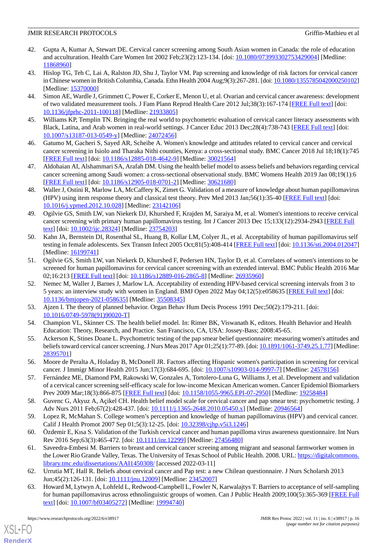- 42. Gupta A, Kumar A, Stewart DE. Cervical cancer screening among South Asian women in Canada: the role of education and acculturation. Health Care Women Int 2002 Feb;23(2):123-134. [doi: [10.1080/073993302753429004\]](http://dx.doi.org/10.1080/073993302753429004) [Medline: [11868960](http://www.ncbi.nlm.nih.gov/entrez/query.fcgi?cmd=Retrieve&db=PubMed&list_uids=11868960&dopt=Abstract)]
- <span id="page-15-0"></span>43. Hislop TG, Teh C, Lai A, Ralston JD, Shu J, Taylor VM. Pap screening and knowledge of risk factors for cervical cancer in Chinese women in British Columbia, Canada. Ethn Health 2004 Aug;9(3):267-281. [doi: [10.1080/1355785042000250102](http://dx.doi.org/10.1080/1355785042000250102)] [Medline: [15370000](http://www.ncbi.nlm.nih.gov/entrez/query.fcgi?cmd=Retrieve&db=PubMed&list_uids=15370000&dopt=Abstract)]
- <span id="page-15-1"></span>44. Simon AE, Wardle J, Grimmett C, Power E, Corker E, Menon U, et al. Ovarian and cervical cancer awareness: development of two validated measurement tools. J Fam Plann Reprod Health Care 2012 Jul;38(3):167-174 [[FREE Full text](https://jfprhc.bmj.com/lookup/pmidlookup?view=long&pmid=21933805)] [doi: [10.1136/jfprhc-2011-100118](http://dx.doi.org/10.1136/jfprhc-2011-100118)] [Medline: [21933805](http://www.ncbi.nlm.nih.gov/entrez/query.fcgi?cmd=Retrieve&db=PubMed&list_uids=21933805&dopt=Abstract)]
- <span id="page-15-10"></span>45. Williams KP, Templin TN. Bringing the real world to psychometric evaluation of cervical cancer literacy assessments with Black, Latina, and Arab women in real-world settings. J Cancer Educ 2013 Dec; 28(4): 738-743 [[FREE Full text](http://europepmc.org/abstract/MED/24072456)] [doi: [10.1007/s13187-013-0549-y\]](http://dx.doi.org/10.1007/s13187-013-0549-y) [Medline: [24072456](http://www.ncbi.nlm.nih.gov/entrez/query.fcgi?cmd=Retrieve&db=PubMed&list_uids=24072456&dopt=Abstract)]
- <span id="page-15-2"></span>46. Gatumo M, Gacheri S, Sayed AR, Scheibe A. Women's knowledge and attitudes related to cervical cancer and cervical cancer screening in Isiolo and Tharaka Nithi counties, Kenya: a cross-sectional study. BMC Cancer 2018 Jul 18;18(1):745 [[FREE Full text](https://bmccancer.biomedcentral.com/articles/10.1186/s12885-018-4642-9)] [doi: [10.1186/s12885-018-4642-9\]](http://dx.doi.org/10.1186/s12885-018-4642-9) [Medline: [30021564](http://www.ncbi.nlm.nih.gov/entrez/query.fcgi?cmd=Retrieve&db=PubMed&list_uids=30021564&dopt=Abstract)]
- <span id="page-15-3"></span>47. Aldohaian AI, Alshammari SA, Arafah DM. Using the health belief model to assess beliefs and behaviors regarding cervical cancer screening among Saudi women: a cross-sectional observational study. BMC Womens Health 2019 Jan 08;19(1):6 [[FREE Full text](https://bmcwomenshealth.biomedcentral.com/articles/10.1186/s12905-018-0701-2)] [doi: [10.1186/s12905-018-0701-2\]](http://dx.doi.org/10.1186/s12905-018-0701-2) [Medline: [30621680](http://www.ncbi.nlm.nih.gov/entrez/query.fcgi?cmd=Retrieve&db=PubMed&list_uids=30621680&dopt=Abstract)]
- <span id="page-15-4"></span>48. Waller J, Ostini R, Marlow LA, McCaffery K, Zimet G. Validation of a measure of knowledge about human papillomavirus (HPV) using item response theory and classical test theory. Prev Med 2013 Jan;56(1):35-40 [[FREE Full text](https://linkinghub.elsevier.com/retrieve/pii/S0091-7435(12)00554-3)] [doi: [10.1016/j.ypmed.2012.10.028\]](http://dx.doi.org/10.1016/j.ypmed.2012.10.028) [Medline: [23142106\]](http://www.ncbi.nlm.nih.gov/entrez/query.fcgi?cmd=Retrieve&db=PubMed&list_uids=23142106&dopt=Abstract)
- <span id="page-15-5"></span>49. Ogilvie GS, Smith LW, van Niekerk DJ, Khurshed F, Krajden M, Saraiya M, et al. Women's intentions to receive cervical cancer screening with primary human papillomavirus testing. Int J Cancer 2013 Dec 15;133(12):2934-2943 [\[FREE Full](https://doi.org/10.1002/ijc.28324) [text](https://doi.org/10.1002/ijc.28324)] [doi: [10.1002/ijc.28324](http://dx.doi.org/10.1002/ijc.28324)] [Medline: [23754203](http://www.ncbi.nlm.nih.gov/entrez/query.fcgi?cmd=Retrieve&db=PubMed&list_uids=23754203&dopt=Abstract)]
- <span id="page-15-6"></span>50. Kahn JA, Bernstein DI, Rosenthal SL, Huang B, Kollar LM, Colyer JL, et al. Acceptability of human papillomavirus self testing in female adolescents. Sex Transm Infect 2005 Oct;81(5):408-414 [\[FREE Full text](https://sti.bmj.com/lookup/pmidlookup?view=long&pmid=16199741)] [doi: [10.1136/sti.2004.012047](http://dx.doi.org/10.1136/sti.2004.012047)] [Medline: [16199741](http://www.ncbi.nlm.nih.gov/entrez/query.fcgi?cmd=Retrieve&db=PubMed&list_uids=16199741&dopt=Abstract)]
- <span id="page-15-7"></span>51. Ogilvie GS, Smith LW, van Niekerk D, Khurshed F, Pedersen HN, Taylor D, et al. Correlates of women's intentions to be screened for human papillomavirus for cervical cancer screening with an extended interval. BMC Public Health 2016 Mar 02;16:213 [[FREE Full text](https://bmcpublichealth.biomedcentral.com/articles/10.1186/s12889-016-2865-8)] [doi: [10.1186/s12889-016-2865-8\]](http://dx.doi.org/10.1186/s12889-016-2865-8) [Medline: [26935960](http://www.ncbi.nlm.nih.gov/entrez/query.fcgi?cmd=Retrieve&db=PubMed&list_uids=26935960&dopt=Abstract)]
- <span id="page-15-9"></span><span id="page-15-8"></span>52. Nemec M, Waller J, Barnes J, Marlow LA. Acceptability of extending HPV-based cervical screening intervals from 3 to 5 years: an interview study with women in England. BMJ Open 2022 May 04;12(5):e058635 [\[FREE Full text\]](https://bmjopen.bmj.com/lookup/pmidlookup?view=long&pmid=35508345) [doi: [10.1136/bmjopen-2021-058635\]](http://dx.doi.org/10.1136/bmjopen-2021-058635) [Medline: [35508345](http://www.ncbi.nlm.nih.gov/entrez/query.fcgi?cmd=Retrieve&db=PubMed&list_uids=35508345&dopt=Abstract)]
- <span id="page-15-11"></span>53. Ajzen I. The theory of planned behavior. Organ Behav Hum Decis Process 1991 Dec;50(2):179-211. [doi: [10.1016/0749-5978\(91\)90020-T](http://dx.doi.org/10.1016/0749-5978(91)90020-T)]
- 54. Champion VL, Skinner CS. The health belief model. In: Rimer BK, Viswanath K, editors. Health Behavior and Health Education: Theory, Research, and Practice. San Francisco, CA, USA: Jossey-Bass; 2008:45-65.
- 55. Ackerson K, Stines Doane L. Psychometric testing of the pap smear belief questionnaire: measuring women's attitudes and beliefs toward cervical cancer screening. J Nurs Meas 2017 Apr 01;25(1):77-89. [doi: [10.1891/1061-3749.25.1.77\]](http://dx.doi.org/10.1891/1061-3749.25.1.77) [Medline: [28395701](http://www.ncbi.nlm.nih.gov/entrez/query.fcgi?cmd=Retrieve&db=PubMed&list_uids=28395701&dopt=Abstract)]
- 56. Moore de Peralta A, Holaday B, McDonell JR. Factors affecting Hispanic women's participation in screening for cervical cancer. J Immigr Minor Health 2015 Jun;17(3):684-695. [doi: [10.1007/s10903-014-9997-7](http://dx.doi.org/10.1007/s10903-014-9997-7)] [Medline: [24578156\]](http://www.ncbi.nlm.nih.gov/entrez/query.fcgi?cmd=Retrieve&db=PubMed&list_uids=24578156&dopt=Abstract)
- 57. Fernández ME, Diamond PM, Rakowski W, Gonzales A, Tortolero-Luna G, Williams J, et al. Development and validation of a cervical cancer screening self-efficacy scale for low-income Mexican American women. Cancer Epidemiol Biomarkers Prev 2009 Mar;18(3):866-875 [[FREE Full text](http://europepmc.org/abstract/MED/19258484)] [doi: [10.1158/1055-9965.EPI-07-2950](http://dx.doi.org/10.1158/1055-9965.EPI-07-2950)] [Medline: [19258484\]](http://www.ncbi.nlm.nih.gov/entrez/query.fcgi?cmd=Retrieve&db=PubMed&list_uids=19258484&dopt=Abstract)
- 58. Guvenc G, Akyuz A, Açikel CH. Health belief model scale for cervical cancer and pap smear test: psychometric testing. J Adv Nurs 2011 Feb;67(2):428-437. [doi: [10.1111/j.1365-2648.2010.05450.x](http://dx.doi.org/10.1111/j.1365-2648.2010.05450.x)] [Medline: [20946564\]](http://www.ncbi.nlm.nih.gov/entrez/query.fcgi?cmd=Retrieve&db=PubMed&list_uids=20946564&dopt=Abstract)
- 59. Lopez R, McMahan S. College women's perception and knowledge of human papillomavirus (HPV) and cervical cancer. Calif J Health Promot 2007 Sep 01;5(3):12-25. [doi: [10.32398/cjhp.v5i3.1246\]](http://dx.doi.org/10.32398/cjhp.v5i3.1246)
- <span id="page-15-13"></span><span id="page-15-12"></span>60. Özdemir E, Kısa S. Validation of the Turkish cervical cancer and human papilloma virus awareness questionnaire. Int Nurs Rev 2016 Sep;63(3):465-472. [doi: [10.1111/inr.12299\]](http://dx.doi.org/10.1111/inr.12299) [Medline: [27456480](http://www.ncbi.nlm.nih.gov/entrez/query.fcgi?cmd=Retrieve&db=PubMed&list_uids=27456480&dopt=Abstract)]
- 61. Saveedra-Embesi M. Barriers to breast and cervical cancer screeing among migrant and seasonal farmworker women in the Lower Rio Grande Valley, Texas. The University of Texas School of Public Health. 2008. URL: [https://digitalcommons.](https://digitalcommons.library.tmc.edu/dissertations/AAI1450308/) [library.tmc.edu/dissertations/AAI1450308/](https://digitalcommons.library.tmc.edu/dissertations/AAI1450308/) [accessed 2022-03-11]
- 62. Urrutia MT, Hall R. Beliefs about cervical cancer and Pap test: a new Chilean questionnaire. J Nurs Scholarsh 2013 Jun;45(2):126-131. [doi: [10.1111/jnu.12009\]](http://dx.doi.org/10.1111/jnu.12009) [Medline: [23452007\]](http://www.ncbi.nlm.nih.gov/entrez/query.fcgi?cmd=Retrieve&db=PubMed&list_uids=23452007&dopt=Abstract)
- 63. Howard M, Lytwyn A, Lohfeld L, Redwood-Campbell L, Fowler N, Karwalajtys T. Barriers to acceptance of self-sampling for human papillomavirus across ethnolinguistic groups of women. Can J Public Health 2009;100(5):365-369 [[FREE Full](http://europepmc.org/abstract/MED/19994740) [text](http://europepmc.org/abstract/MED/19994740)] [doi: [10.1007/bf03405272](http://dx.doi.org/10.1007/bf03405272)] [Medline: [19994740\]](http://www.ncbi.nlm.nih.gov/entrez/query.fcgi?cmd=Retrieve&db=PubMed&list_uids=19994740&dopt=Abstract)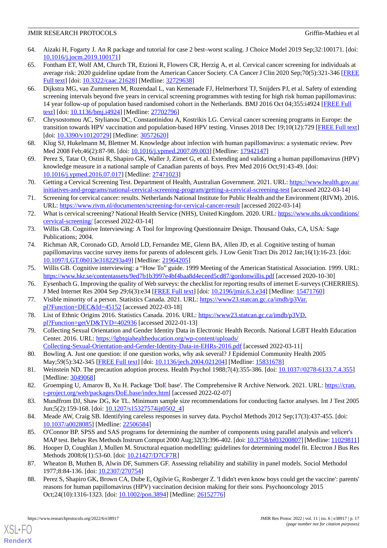- <span id="page-16-0"></span>64. Aizaki H, Fogarty J. An R package and tutorial for case 2 best–worst scaling. J Choice Model 2019 Sep;32:100171. [doi: [10.1016/j.jocm.2019.100171](http://dx.doi.org/10.1016/j.jocm.2019.100171)]
- <span id="page-16-1"></span>65. Fontham ET, Wolf AM, Church TR, Etzioni R, Flowers CR, Herzig A, et al. Cervical cancer screening for individuals at average risk: 2020 guideline update from the American Cancer Society. CA Cancer J Clin 2020 Sep;70(5):321-346 [\[FREE](https://doi.org/10.3322/caac.21628) [Full text\]](https://doi.org/10.3322/caac.21628) [doi: [10.3322/caac.21628\]](http://dx.doi.org/10.3322/caac.21628) [Medline: [32729638\]](http://www.ncbi.nlm.nih.gov/entrez/query.fcgi?cmd=Retrieve&db=PubMed&list_uids=32729638&dopt=Abstract)
- <span id="page-16-2"></span>66. Dijkstra MG, van Zummeren M, Rozendaal L, van Kemenade FJ, Helmerhorst TJ, Snijders PJ, et al. Safety of extending screening intervals beyond five years in cervical screening programmes with testing for high risk human papillomavirus: 14 year follow-up of population based randomised cohort in the Netherlands. BMJ 2016 Oct 04;355:i4924 [[FREE Full](http://www.bmj.com/lookup/pmidlookup?view=long&pmid=27702796) [text](http://www.bmj.com/lookup/pmidlookup?view=long&pmid=27702796)] [doi: [10.1136/bmj.i4924\]](http://dx.doi.org/10.1136/bmj.i4924) [Medline: [27702796](http://www.ncbi.nlm.nih.gov/entrez/query.fcgi?cmd=Retrieve&db=PubMed&list_uids=27702796&dopt=Abstract)]
- <span id="page-16-4"></span><span id="page-16-3"></span>67. Chrysostomou AC, Stylianou DC, Constantinidou A, Kostrikis LG. Cervical cancer screening programs in Europe: the transition towards HPV vaccination and population-based HPV testing. Viruses 2018 Dec 19;10(12):729 [\[FREE Full text](https://www.mdpi.com/resolver?pii=v10120729)] [doi: [10.3390/v10120729](http://dx.doi.org/10.3390/v10120729)] [Medline: [30572620\]](http://www.ncbi.nlm.nih.gov/entrez/query.fcgi?cmd=Retrieve&db=PubMed&list_uids=30572620&dopt=Abstract)
- <span id="page-16-5"></span>68. Klug SJ, Hukelmann M, Blettner M. Knowledge about infection with human papillomavirus: a systematic review. Prev Med 2008 Feb;46(2):87-98. [doi: [10.1016/j.ypmed.2007.09.003](http://dx.doi.org/10.1016/j.ypmed.2007.09.003)] [Medline: [17942147\]](http://www.ncbi.nlm.nih.gov/entrez/query.fcgi?cmd=Retrieve&db=PubMed&list_uids=17942147&dopt=Abstract)
- <span id="page-16-6"></span>69. Perez S, Tatar O, Ostini R, Shapiro GK, Waller J, Zimet G, et al. Extending and validating a human papillomavirus (HPV) knowledge measure in a national sample of Canadian parents of boys. Prev Med 2016 Oct;91:43-49. [doi: [10.1016/j.ypmed.2016.07.017\]](http://dx.doi.org/10.1016/j.ypmed.2016.07.017) [Medline: [27471023\]](http://www.ncbi.nlm.nih.gov/entrez/query.fcgi?cmd=Retrieve&db=PubMed&list_uids=27471023&dopt=Abstract)
- 70. Getting a Cervical Screening Test. Department of Health, Australian Government. 2021. URL: [https://www.health.gov.au/](https://www.health.gov.au/initiatives-and-programs/national-cervical-screening-program/getting-a-cervical-screening-test) [initiatives-and-programs/national-cervical-screening-program/getting-a-cervical-screening-test](https://www.health.gov.au/initiatives-and-programs/national-cervical-screening-program/getting-a-cervical-screening-test) [accessed 2022-03-14]
- <span id="page-16-7"></span>71. Screening for cervical cancer: results. Netherlands National Institute for Public Health and the Environment (RIVM). 2016. URL: <https://www.rivm.nl/documenten/screening-for-cervical-cancer-result> [accessed 2022-03-14]
- <span id="page-16-9"></span><span id="page-16-8"></span>72. What is cervical screening? National Health Service (NHS), United Kingdom. 2020. URL: [https://www.nhs.uk/conditions/](https://www.nhs.uk/conditions/cervical-screening/) [cervical-screening/](https://www.nhs.uk/conditions/cervical-screening/) [accessed 2022-03-14]
- 73. Willis GB. Cognitive Interviewing: A Tool for Improving Questionnaire Design. Thousand Oaks, CA, USA: Sage Publications; 2004.
- <span id="page-16-11"></span><span id="page-16-10"></span>74. Richman AR, Coronado GD, Arnold LD, Fernandez ME, Glenn BA, Allen JD, et al. Cognitive testing of human papillomavirus vaccine survey items for parents of adolescent girls. J Low Genit Tract Dis 2012 Jan;16(1):16-23. [doi: [10.1097/LGT.0b013e3182293a49\]](http://dx.doi.org/10.1097/LGT.0b013e3182293a49) [Medline: [21964205\]](http://www.ncbi.nlm.nih.gov/entrez/query.fcgi?cmd=Retrieve&db=PubMed&list_uids=21964205&dopt=Abstract)
- <span id="page-16-12"></span>75. Willis GB. Cognitive interviewing: a "How To" guide. 1999 Meeting of the American Statistical Association. 1999. URL: <https://www.hkr.se/contentassets/9ed7b1b3997e4bf4baa8d4eceed5cd87/gordonwillis.pdf> [accessed 2020-10-30]
- <span id="page-16-13"></span>76. Eysenbach G. Improving the quality of Web surveys: the checklist for reporting results of internet E-surveys (CHERRIES). J Med Internet Res 2004 Sep 29;6(3):e34 [\[FREE Full text\]](https://www.jmir.org/2004/3/e34/) [doi: [10.2196/jmir.6.3.e34](http://dx.doi.org/10.2196/jmir.6.3.e34)] [Medline: [15471760](http://www.ncbi.nlm.nih.gov/entrez/query.fcgi?cmd=Retrieve&db=PubMed&list_uids=15471760&dopt=Abstract)]
- <span id="page-16-14"></span>77. Visible minority of a person. Statistics Canada. 2021. URL: [https://www23.statcan.gc.ca/imdb/p3Var.](https://www23.statcan.gc.ca/imdb/p3Var.pl?Function=DEC&Id=45152) [pl?Function=DEC&Id=45152](https://www23.statcan.gc.ca/imdb/p3Var.pl?Function=DEC&Id=45152) [accessed 2022-03-18]
- <span id="page-16-15"></span>78. List of Ethnic Origins 2016. Statistics Canada. 2016. URL: [https://www23.statcan.gc.ca/imdb/p3VD.](https://www23.statcan.gc.ca/imdb/p3VD.pl?Function=getVD&TVD=402936) [pl?Function=getVD&TVD=402936](https://www23.statcan.gc.ca/imdb/p3VD.pl?Function=getVD&TVD=402936) [accessed 2022-01-13]
- <span id="page-16-16"></span>79. Collecting Sexual Orientation and Gender Identity Data in Electronic Health Records. National LGBT Health Education Center. 2016. URL: [https://lgbtqiahealtheducation.org/wp-content/uploads/](https://lgbtqiahealtheducation.org/wp-content/uploads/Collecting-Sexual-Orientation-and-Gender-Identity-Data-in-EHRs-2016.pdf) [Collecting-Sexual-Orientation-and-Gender-Identity-Data-in-EHRs-2016.pdf](https://lgbtqiahealtheducation.org/wp-content/uploads/Collecting-Sexual-Orientation-and-Gender-Identity-Data-in-EHRs-2016.pdf) [accessed 2022-03-11]
- <span id="page-16-17"></span>80. Bowling A. Just one question: if one question works, why ask several? J Epidemiol Community Health 2005 May;59(5):342-345 [\[FREE Full text\]](https://jech.bmj.com/lookup/pmidlookup?view=long&pmid=15831678) [doi: [10.1136/jech.2004.021204\]](http://dx.doi.org/10.1136/jech.2004.021204) [Medline: [15831678\]](http://www.ncbi.nlm.nih.gov/entrez/query.fcgi?cmd=Retrieve&db=PubMed&list_uids=15831678&dopt=Abstract)
- <span id="page-16-19"></span><span id="page-16-18"></span>81. Weinstein ND. The precaution adoption process. Health Psychol 1988;7(4):355-386. [doi: [10.1037//0278-6133.7.4.355\]](http://dx.doi.org/10.1037//0278-6133.7.4.355) [Medline: [3049068\]](http://www.ncbi.nlm.nih.gov/entrez/query.fcgi?cmd=Retrieve&db=PubMed&list_uids=3049068&dopt=Abstract)
- <span id="page-16-20"></span>82. Groemping U, Amarov B, Xu H. Package 'DoE base'. The Comprehensive R Archive Network. 2021. URL: [https://cran.](https://cran.r-project.org/web/packages/DoE.base/index.html) [r-project.org/web/packages/DoE.base/index.html](https://cran.r-project.org/web/packages/DoE.base/index.html) [accessed 2022-02-07]
- <span id="page-16-21"></span>83. Mundfrom DJ, Shaw DG, Ke TL. Minimum sample size recommendations for conducting factor analyses. Int J Test 2005 Jun;5(2):159-168. [doi: [10.1207/s15327574ijt0502\\_4\]](http://dx.doi.org/10.1207/s15327574ijt0502_4)
- <span id="page-16-22"></span>84. Meade AW, Craig SB. Identifying careless responses in survey data. Psychol Methods 2012 Sep;17(3):437-455. [doi: [10.1037/a0028085](http://dx.doi.org/10.1037/a0028085)] [Medline: [22506584](http://www.ncbi.nlm.nih.gov/entrez/query.fcgi?cmd=Retrieve&db=PubMed&list_uids=22506584&dopt=Abstract)]
- <span id="page-16-23"></span>85. O'Connor BP. SPSS and SAS programs for determining the number of components using parallel analysis and velicer's MAP test. Behav Res Methods Instrum Comput 2000 Aug;32(3):396-402. [doi: [10.3758/bf03200807](http://dx.doi.org/10.3758/bf03200807)] [Medline: [11029811\]](http://www.ncbi.nlm.nih.gov/entrez/query.fcgi?cmd=Retrieve&db=PubMed&list_uids=11029811&dopt=Abstract)
- 86. Hooper D, Coughlan J, Mullen M. Structural equation modelling: guidelines for determining model fit. Electron J Bus Res Methods 2008;6(1):53-60. [doi: [10.21427/D7CF7R](http://dx.doi.org/10.21427/D7CF7R)]
- 87. Wheaton B, Muthen B, Alwin DF, Summers GF. Assessing reliability and stability in panel models. Sociol Methodol 1977;8:84-136. [doi: [10.2307/270754](http://dx.doi.org/10.2307/270754)]
- 88. Perez S, Shapiro GK, Brown CA, Dube E, Ogilvie G, Rosberger Z. 'I didn't even know boys could get the vaccine': parents' reasons for human papillomavirus (HPV) vaccination decision making for their sons. Psychooncology 2015 Oct;24(10):1316-1323. [doi: [10.1002/pon.3894\]](http://dx.doi.org/10.1002/pon.3894) [Medline: [26152776\]](http://www.ncbi.nlm.nih.gov/entrez/query.fcgi?cmd=Retrieve&db=PubMed&list_uids=26152776&dopt=Abstract)